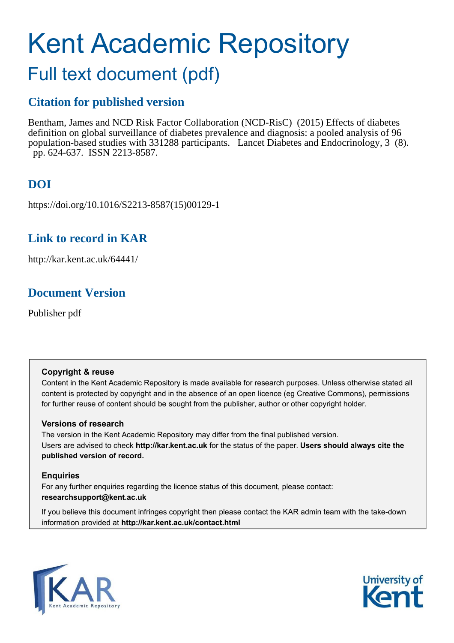# Kent Academic Repository

## Full text document (pdf)

## **Citation for published version**

Bentham, James and NCD Risk Factor Collaboration (NCD-RisC) (2015) Effects of diabetes definition on global surveillance of diabetes prevalence and diagnosis: a pooled analysis of 96 population-based studies with 331288 participants. Lancet Diabetes and Endocrinology, 3 (8). pp. 624-637. ISSN 2213-8587.

## **DOI**

https://doi.org/10.1016/S2213-8587(15)00129-1

## **Link to record in KAR**

http://kar.kent.ac.uk/64441/

## **Document Version**

Publisher pdf

## **Copyright & reuse**

Content in the Kent Academic Repository is made available for research purposes. Unless otherwise stated all content is protected by copyright and in the absence of an open licence (eg Creative Commons), permissions for further reuse of content should be sought from the publisher, author or other copyright holder.

## **Versions of research**

The version in the Kent Academic Repository may differ from the final published version. Users are advised to check **http://kar.kent.ac.uk** for the status of the paper. **Users should always cite the published version of record.**

## **Enquiries**

For any further enquiries regarding the licence status of this document, please contact: **researchsupport@kent.ac.uk**

If you believe this document infringes copyright then please contact the KAR admin team with the take-down information provided at **http://kar.kent.ac.uk/contact.html**



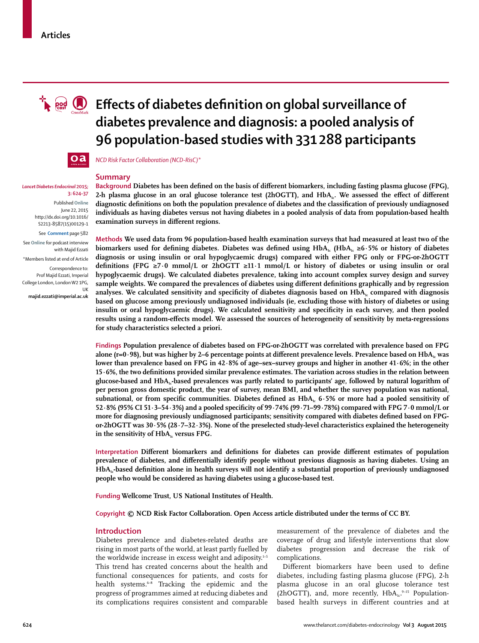

*Lancet Diabetes Endocrinol* **2015;** 

\*Members listed at end of Article Correspondence to: Prof Majid Ezzati, Imperial College London, London W2 1PG,

**majid.ezzati@imperial.ac.uk**

## **Effects of diabetes definition on global surveillance of diabetes prevalence and diagnosis: a pooled analysis of 96 population-based studies with 331 288 participants**



**3: 624–37** Published **Online** June 22, 2015 http://dx.doi.org/10.1016/ S2213-8587(15)00129-1 See **Comment** page 582 See **Online** for podcast interview

with Majid Ezzati

UK

*NCD Risk Factor Collaboration (NCD-RisC)\**

#### **Summary**

Background Diabetes has been defined on the basis of different biomarkers, including fasting plasma glucose (FPG), 2-h plasma glucose in an oral glucose tolerance test (2hOGTT), and HbA<sub>1c</sub>. We assessed the effect of different diagnostic definitions on both the population prevalence of diabetes and the classification of previously undiagnosed **individuals as having diabetes versus not having diabetes in a pooled analysis of data from population-based health**  examination surveys in different regions.

**Methods We used data from 96 population-based health examination surveys that had measured at least two of the biomarkers used for defining diabetes. Diabetes was defined using**  $HbA_t$ **<sub>1c</sub> (HbA<sub>1c</sub> ≥6·5% or history of diabetes diagnosis or using insulin or oral hypoglycaemic drugs) compared with either FPG only or FPG-or-2hOGTT**  definitions (FPG  $\geq 7.0$  mmol/L or 2hOGTT  $\geq 11.1$  mmol/L or history of diabetes or using insulin or oral **hypoglycaemic drugs). We calculated diabetes prevalence, taking into account complex survey design and survey**  sample weights. We compared the prevalences of diabetes using different definitions graphically and by regression analyses. We calculated sensitivity and specificity of diabetes diagnosis based on HbA<sub>1c</sub> compared with diagnosis **based on glucose among previously undiagnosed individuals (ie, excluding those with history of diabetes or using**  insulin or oral hypoglycaemic drugs). We calculated sensitivity and specificity in each survey, and then pooled results using a random-effects model. We assessed the sources of heterogeneity of sensitivity by meta-regressions **for study characteristics selected a priori.**

**Findings Population prevalence of diabetes based on FPG-or-2hOGTT was correlated with prevalence based on FPG**  alone (r=0·98), but was higher by 2–6 percentage points at different prevalence levels. Prevalence based on HbA<sub>1c</sub> was **lower than prevalence based on FPG in 42·8% of age–sex–survey groups and higher in another 41·6%; in the other 15·6%, the two defi nitions provided similar prevalence estimates. The variation across studies in the relation between glucose-based and HbA1c-based prevalences was partly related to participants' age, followed by natural logarithm of per person gross domestic product, the year of survey, mean BMI, and whether the survey population was national,**  subnational, or from specific communities. Diabetes defined as  $HbA<sub>i</sub>$  **6**·5% or more had a pooled sensitivity of 52·8% (95% CI 51·3-54·3%) and a pooled specificity of 99·74% (99·71-99·78%) compared with FPG 7·0 mmol/L or more for diagnosing previously undiagnosed participants; sensitivity compared with diabetes defined based on FPG**or-2hOGTT was 30·5% (28·7–32·3%). None of the preselected study-level characteristics explained the heterogeneity**  in the sensitivity of HbA<sub>*tc*</sub> versus FPG.

Interpretation Different biomarkers and definitions for diabetes can provide different estimates of population prevalence of diabetes, and differentially identify people without previous diagnosis as having diabetes. Using an HbA<sub>*k*-based definition alone in health surveys will not identify a substantial proportion of previously undiagnosed</sub> **people who would be considered as having diabetes using a glucose-based test.**

**Funding Wellcome Trust, US National Institutes of Health.**

#### **Copyright © NCD Risk Factor Collaboration. Open Access article distributed under the terms of CC BY.**

#### **Introduction**

Diabetes prevalence and diabetes-related deaths are rising in most parts of the world, at least partly fuelled by the worldwide increase in excess weight and adiposity.<sup>1-5</sup> This trend has created concerns about the health and functional consequences for patients, and costs for health systems.<sup>6-8</sup> Tracking the epidemic and the progress of programmes aimed at reducing diabetes and its complications requires consistent and comparable measurement of the prevalence of diabetes and the coverage of drug and lifestyle interventions that slow diabetes progression and decrease the risk of complications.

Different biomarkers have been used to define diabetes, including fasting plasma glucose (FPG), 2-h plasma glucose in an oral glucose tolerance test (2hOGTT), and, more recently,  $HbA_{1c}$ <sup>9-15</sup> Populationbased health surveys in different countries and at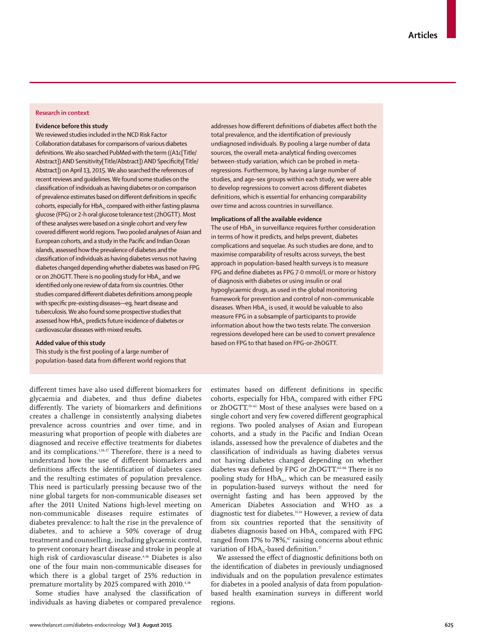#### **Research in context**

#### **Evidence before this study**

We reviewed studies included in the NCD Risk Factor Collaboration databases for comparisons of various diabetes definitions. We also searched PubMed with the term ((A1c[Title/ Abstract]) AND Sensitivity[Title/Abstract]) AND Specificity[Title/ Abstract]) on April 13, 2015. We also searched the references of recent reviews and guidelines. We found some studies on the classification of individuals as having diabetes or on comparison of prevalence estimates based on different definitions in specific cohorts, especially for HbA<sub>1c</sub> compared with either fasting plasma glucose (FPG) or 2-h oral glucose tolerance test (2hOGTT). Most of these analyses were based on a single cohort and very few covered different world regions. Two pooled analyses of Asian and European cohorts, and a study in the Pacific and Indian Ocean islands, assessed how the prevalence of diabetes and the classification of individuals as having diabetes versus not having diabetes changed depending whether diabetes was based on FPG or on 2hOGTT. There is no pooling study for  $HbA<sub>1c</sub>$  and we identified only one review of data from six countries. Other studies compared different diabetes definitions among people with specific pre-existing diseases-eg, heart disease and tuberculosis. We also found some prospective studies that assessed how  $HbA_{1c}$  predicts future incidence of diabetes or cardiovascular diseases with mixed results.

#### **Added value of this study**

This study is the first pooling of a large number of population-based data from different world regions that addresses how different definitions of diabetes affect both the total prevalence, and the identification of previously undiagnosed individuals. By pooling a large number of data sources, the overall meta-analytical finding overcomes between-study variation, which can be probed in metaregressions. Furthermore, by having a large number of studies, and age–sex groups within each study, we were able to develop regressions to convert across different diabetes definitions, which is essential for enhancing comparability over time and across countries in surveillance.

#### **Implications of all the available evidence**

The use of  $HbA_{1c}$  in surveillance requires further consideration in terms of how it predicts, and helps prevent, diabetes complications and sequelae. As such studies are done, and to maximise comparability of results across surveys, the best approach in population-based health surveys is to measure FPG and define diabetes as FPG 7.0 mmol/L or more or history of diagnosis with diabetes or using insulin or oral hypoglycaemic drugs, as used in the global monitoring framework for prevention and control of non-communicable diseases. When  $HbA_{1c}$  is used, it would be valuable to also measure FPG in a subsample of participants to provide information about how the two tests relate. The conversion regressions developed here can be used to convert prevalence based on FPG to that based on FPG-or-2hOGTT.

different times have also used different biomarkers for glycaemia and diabetes, and thus define diabetes differently. The variety of biomarkers and definitions creates a challenge in consistently analysing diabetes prevalence across countries and over time, and in measuring what proportion of people with diabetes are diagnosed and receive effective treatments for diabetes and its complications.1,16,17 Therefore, there is a need to understand how the use of different biomarkers and definitions affects the identification of diabetes cases and the resulting estimates of population prevalence. This need is particularly pressing because two of the nine global targets for non-communicable diseases set after the 2011 United Nations high-level meeting on non-communicable diseases require estimates of diabetes prevalence: to halt the rise in the prevalence of diabetes, and to achieve a 50% coverage of drug treatment and counselling, including glycaemic control, to prevent coronary heart disease and stroke in people at high risk of cardiovascular disease.<sup>4,18</sup> Diabetes is also one of the four main non-com municable diseases for which there is a global target of 25% reduction in premature mortality by 2025 compared with 2010.<sup>4,18</sup>

Some studies have analysed the classification of individuals as having diabetes or compared prevalence estimates based on different definitions in specific cohorts, especially for  $HbA<sub>i</sub>$  compared with either FPG or 2hOGTT.19–61 Most of these analyses were based on a single cohort and very few covered different geographical regions. Two pooled analyses of Asian and European cohorts, and a study in the Pacific and Indian Ocean islands, assessed how the prevalence of diabetes and the classification of individuals as having diabetes versus not having diabetes changed depending on whether diabetes was defined by FPG or 2hOGTT.<sup>62-66</sup> There is no pooling study for  $HbA_{1c}$ , which can be measured easily in population-based surveys without the need for overnight fasting and has been approved by the American Diabetes Association and WHO as a diagnostic test for diabetes.<sup>11,14</sup> However, a review of data from six countries reported that the sensitivity of diabetes diagnosis based on  $HbA<sub>k</sub>$  compared with FPG ranged from 17% to 78%, $\sigma$  raising concerns about ethnic variation of HbA<sub>1c</sub>-based definition.<sup>17</sup>

We assessed the effect of diagnostic definitions both on the identification of diabetes in previously undiagnosed individuals and on the population prevalence estimates for diabetes in a pooled analysis of data from populationbased health examination surveys in different world regions.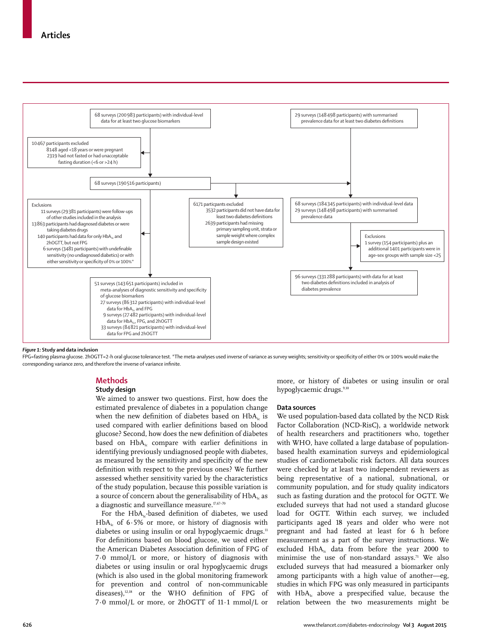

#### *Figure 1:* **Study and data inclusion**

FPG=fasting plasma glucose. 2hOGTT=2-h oral glucose tolerance test. \*The meta-analyses used inverse of variance as survey weights; sensitivity or specificity of either 0% or 100% would make the corresponding variance zero, and therefore the inverse of variance infinite

#### **Methods**

#### **Study design**

We aimed to answer two questions. First, how does the estimated prevalence of diabetes in a population change when the new definition of diabetes based on  $HbA<sub>1c</sub>$  is used compared with earlier definitions based on blood glucose? Second, how does the new definition of diabetes based on  $HbA_i$  compare with earlier definitions in identifying previously undiagnosed people with diabetes, as measured by the sensitivity and specificity of the new definition with respect to the previous ones? We further assessed whether sensitivity varied by the characteristics of the study population, because this possible variation is a source of concern about the generalisability of  $HbA<sub>c</sub>$  as a diagnostic and surveillance measure.<sup>17,67-70</sup>

For the  $HbA<sub>i</sub>$ -based definition of diabetes, we used  $HbA<sub>1c</sub>$  of 6.5% or more, or history of diagnosis with diabetes or using insulin or oral hypoglycaemic drugs.<sup>11</sup> For definitions based on blood glucose, we used either the American Diabetes Association definition of FPG of 7·0 mmol/L or more, or history of diagnosis with diabetes or using insulin or oral hypoglycaemic drugs (which is also used in the global monitoring framework for prevention and control of non-communicable diseases), $12,18$  or the WHO definition of FPG of 7·0 mmol/L or more, or 2hOGTT of 11·1 mmol/L or more, or history of diabetes or using insulin or oral hypoglycaemic drugs.<sup>9,10</sup>

#### **Data sources**

We used population-based data collated by the NCD Risk Factor Collaboration (NCD-RisC), a worldwide network of health researchers and practitioners who, together with WHO, have collated a large database of populationbased health examination surveys and epidemiological studies of cardiometabolic risk factors. All data sources were checked by at least two independent reviewers as being representative of a national, subnational, or community population, and for study quality indicators such as fasting duration and the protocol for OGTT. We excluded surveys that had not used a standard glucose load for OGTT. Within each survey, we included participants aged 18 years and older who were not pregnant and had fasted at least for 6 h before measurement as a part of the survey instructions. We excluded  $HbA_{1c}$  data from before the year 2000 to minimise the use of non-standard assays.<sup>71</sup> We also excluded surveys that had measured a biomarker only among participants with a high value of another—eg, studies in which FPG was only measured in participants with  $HbA<sub>i</sub>$  above a prespecified value, because the relation between the two measurements might be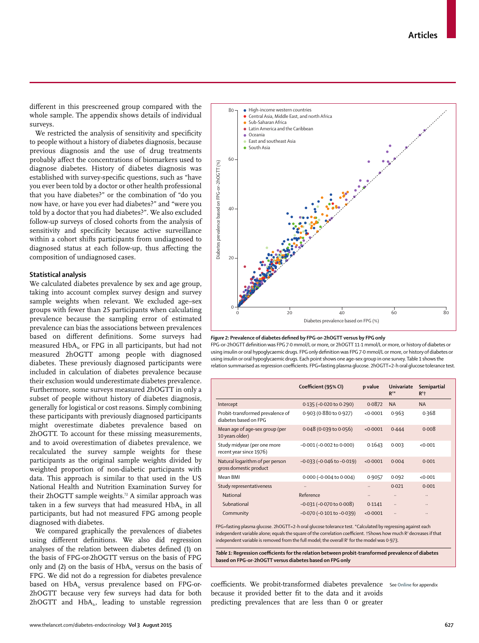different in this prescreened group compared with the whole sample. The appendix shows details of individual surveys.

We restricted the analysis of sensitivity and specificity to people without a history of diabetes diagnosis, because previous diagnosis and the use of drug treatments probably affect the concentrations of biomarkers used to diagnose diabetes. History of diabetes diagnosis was established with survey-specific questions, such as "have you ever been told by a doctor or other health professional that you have diabetes?" or the combination of "do you now have, or have you ever had diabetes?" and "were you told by a doctor that you had diabetes?". We also excluded follow-up surveys of closed cohorts from the analysis of sensitivity and specificity because active surveillance within a cohort shifts participants from undiagnosed to diagnosed status at each follow-up, thus affecting the composition of undiagnosed cases.

#### **Statistical analysis**

We calculated diabetes prevalence by sex and age group, taking into account complex survey design and survey sample weights when relevant. We excluded age–sex groups with fewer than 25 participants when calculating prevalence because the sampling error of estimated prevalence can bias the associations between prevalences based on different definitions. Some surveys had measured  $HbA<sub>i</sub>$  or FPG in all participants, but had not measured 2hOGTT among people with diagnosed diabetes. These previously diagnosed participants were included in calculation of diabetes prevalence because their exclusion would underestimate diabetes prevalence. Furthermore, some surveys measured 2hOGTT in only a subset of people without history of diabetes diagnosis, generally for logistical or cost reasons. Simply combining these participants with previously diagnosed participants might overestimate diabetes prevalence based on 2hOGTT. To account for these missing measurements, and to avoid overestimation of diabetes prevalence, we recalculated the survey sample weights for these participants as the original sample weights divided by weighted proportion of non-diabetic participants with data. This approach is similar to that used in the US National Health and Nutrition Examination Survey for their 2hOGTT sample weights.<sup>72</sup> A similar approach was taken in a few surveys that had measured  $HbA<sub>1c</sub>$  in all participants, but had not measured FPG among people diagnosed with diabetes.

We compared graphically the prevalences of diabetes using different definitions. We also did regression analyses of the relation between diabetes defined (1) on the basis of FPG-or-2hOGTT versus on the basis of FPG only and (2) on the basis of  $HbA<sub>1c</sub>$  versus on the basis of FPG. We did not do a regression for diabetes prevalence based on  $HbA_{1c}$  versus prevalence based on FPG-or-2hOGTT because very few surveys had data for both 2hOGTT and  $HbA<sub>i</sub>$ , leading to unstable regression



#### Figure 2: Prevalence of diabetes defined by FPG-or-2hOGTT versus by FPG only

FPG-or-2hOGTT definition was FPG 7-0 mmol/L or more, or 2hOGTT 11-1 mmol/L or more, or history of diabetes or using insulin or oral hypoglycaemic drugs. FPG only definition was FPG 7-0 mmol/L or more, or history of diabetes or using insulin or oral hypoglycaemic drugs. Each point shows one age–sex group in one survey. Table 1 shows the relation summarised as regression coefficients. FPG=fasting plasma glucose. 2hOGTT=2-h oral glucose tolerance test.

|                                                           | Coefficient (95% CI)              | p value  | <b>Univariate</b><br>$R^{2*}$ | Semipartial<br>$R^2$ <sup>+</sup> |
|-----------------------------------------------------------|-----------------------------------|----------|-------------------------------|-----------------------------------|
| Intercept                                                 | $0.135 (-0.020 to 0.290)$         | 0.0872   | <b>NA</b>                     | <b>NA</b>                         |
| Probit-transformed prevalence of<br>diabetes based on FPG | 0.903 (0.880 to 0.927)            | < 0.0001 | 0.963                         | 0.368                             |
| Mean age of age-sex group (per<br>10 years older)         | $0.048(0.039)$ to $0.056$ )       | < 0.0001 | 0.444                         | 0.008                             |
| Study midyear (per one more<br>recent year since 1976)    | $-0.001$ ( $-0.002$ to $0.000$ )  | 0.1643   | 0.003                         | <0.001                            |
| Natural logarithm of per person<br>gross domestic product | $-0.033$ ( $-0.046$ to $-0.019$ ) | < 0.0001 | 0.004                         | 0.001                             |
| Mean BMI                                                  | 0.000 (-0.004 to 0.004)           | 0.9057   | 0.092                         | <0.001                            |
| Study representativeness                                  |                                   |          | 0.021                         | 0.001                             |
| <b>National</b>                                           | Reference                         |          |                               |                                   |
| Subnational                                               | $-0.031$ ( $-0.070$ to $0.008$ )  | 0.1141   |                               |                                   |
| Community                                                 | $-0.070$ ( $-0.101$ to $-0.039$ ) | < 0.0001 |                               |                                   |

FPG=fasting plasma glucose. 2hOGTT=2-h oral glucose tolerance test. \*Calculated by regressing against each independent variable alone; equals the square of the correlation coefficient. †Shows how much R<sup>2</sup> decreases if that independent variable is removed from the full model; the overall  $\mathsf{R}^{\scriptscriptstyle 2}$  for the model was 0·973.

Table 1: Regression coefficients for the relation between probit-transformed prevalence of diabetes **based on FPG-or-2hOGTT versus diabetes based on FPG only**

coefficients. We probit-transformed diabetes prevalence see Online for appendix because it provided better fit to the data and it avoids predicting prevalences that are less than 0 or greater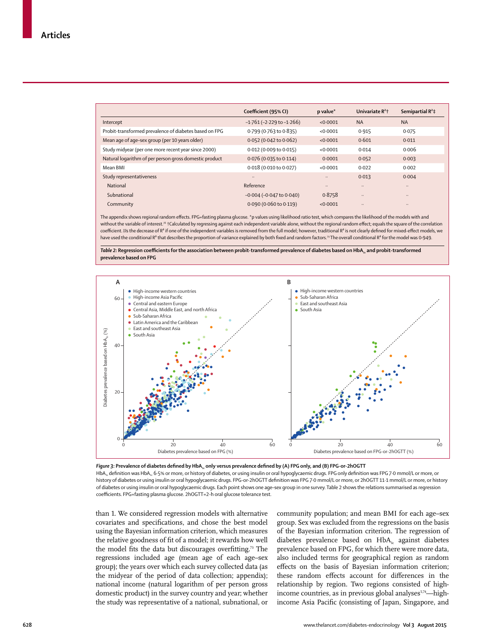|                                                        | Coefficient (95% CI)             | $p$ value $*$ | Univariate $R^2$ <sup>+</sup> | Semipartial $R^2$ ‡ |
|--------------------------------------------------------|----------------------------------|---------------|-------------------------------|---------------------|
| Intercept                                              | $-1.761(-2.229$ to $-1.266$ )    | < 0.0001      | <b>NA</b>                     | <b>NA</b>           |
| Probit-transformed prevalence of diabetes based on FPG | 0.799 (0.763 to 0.835)           | < 0.0001      | 0.915                         | 0.075               |
| Mean age of age-sex group (per 10 years older)         | 0.052 (0.042 to 0.062)           | < 0.0001      | 0.601                         | 0.011               |
| Study midyear (per one more recent year since 2000)    | 0.012 (0.009 to 0.015)           | < 0.0001      | 0.014                         | 0.006               |
| Natural logarithm of per person gross domestic product | 0.076 (0.035 to 0.114)           | 0.0001        | 0.052                         | 0.003               |
| Mean BMI                                               | 0.018 (0.010 to 0.027)           | < 0.0001      | 0.022                         | 0.002               |
| Study representativeness                               | $\cdot$                          | $\cdot$ .     | 0.013                         | 0.004               |
| <b>National</b>                                        | Reference                        | $\cdot$ .     | $\cdots$                      |                     |
| Subnational                                            | $-0.004$ ( $-0.047$ to $0.040$ ) | 0.8758        |                               |                     |
| Community                                              | 0.090(0.060 to 0.119)            | < 0.0001      | $\cdot$                       |                     |

The appendix shows regional random effects. FPG=fasting plasma glucose. \*p values using likelihood ratio test, which compares the likelihood of the models with and without the variable of interest.<sup>78</sup> †Calculated by regressing against each independent variable alone, without the regional random effect; equals the square of the correlation coefficient. #Is the decrease of R<sup>2</sup> if one of the independent variables is removed from the full model; however, traditional R<sup>2</sup> is not clearly defined for mixed-effect models, we have used the conditional R<sup>2</sup> that describes the proportion of variance explained by both fixed and random factors.<sup>79</sup> The overall conditional R<sup>2</sup> for the model was 0·949.

Table 2: Regression coefficients for the association between probit-transformed prevalence of diabetes based on HbA<sub>1c</sub> and probit-transformed **prevalence based on FPG**



Figure 3: Prevalence of diabetes defined by HbA<sub>1c</sub> only versus prevalence defined by (A) FPG only, and (B) FPG-or-2hOGTT HbA<sub>1c</sub> definition was HbA<sub>1c</sub> 6·5% or more, or history of diabetes, or using insulin or oral hypoglycaemic drugs. FPG only definition was FPG 7·0 mmol/L or more, or history of diabetes or using insulin or oral hypoglycaemic drugs. FPG-or-2hOGTT definition was FPG 7·0 mmol/L or more, or 2hOGTT 11·1 mmol/L or more, or history of diabetes or using insulin or oral hypoglycaemic drugs. Each point shows one age–sex group in one survey. Table 2 shows the relations summarised as regression coefficients. FPG=fasting plasma glucose. 2hOGTT=2-h oral glucose tolerance test.

than 1. We considered regression models with alternative covariates and specifications, and chose the best model using the Bayesian information criterion, which measures the relative goodness of fit of a model; it rewards how well the model fits the data but discourages overfitting.<sup>73</sup> The regressions included age (mean age of each age–sex group); the years over which each survey collected data (as the midyear of the period of data collection; appendix); national income (natural logarithm of per person gross domestic product) in the survey country and year; whether the study was representative of a national, subnational, or community population; and mean BMI for each age–sex group. Sex was excluded from the regressions on the basis of the Bayesian information criterion. The regression of diabetes prevalence based on HbA<sub>1c</sub> against diabetes prevalence based on FPG, for which there were more data, also included terms for geographical region as random effects on the basis of Bayesian information criterion; these random effects account for differences in the relationship by region. Two regions consisted of highincome countries, as in previous global analyses<sup>5,74</sup>—highincome Asia Pacific (consisting of Japan, Singapore, and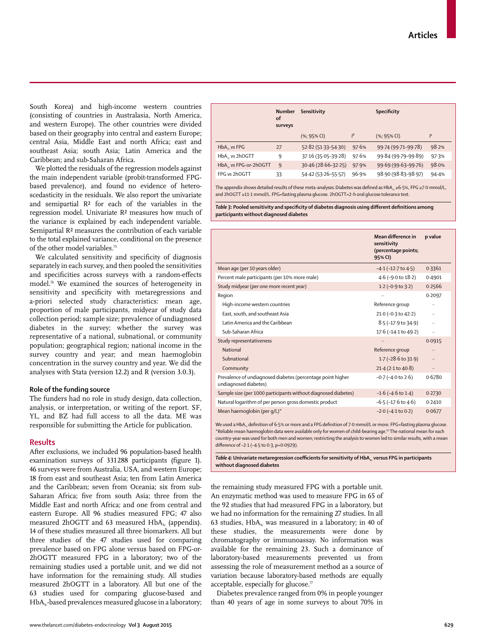South Korea) and high-income western countries (consisting of countries in Australasia, North America, and western Europe). The other countries were divided based on their geography into central and eastern Europe; central Asia, Middle East and north Africa; east and southeast Asia; south Asia; Latin America and the Caribbean; and sub-Saharan Africa.

We plotted the residuals of the regression models against the main independent variable (probit-transformed FPGbased prevalence), and found no evidence of heteroscedasticity in the residuals. We also report the univariate and semipartial R² for each of the variables in the regression model. Univariate R² measures how much of the variance is explained by each independent variable. Semipartial R² measures the contribution of each variable to the total explained variance, conditional on the presence of the other model variables.<sup>75</sup>

We calculated sensitivity and specificity of diagnosis separately in each survey, and then pooled the sensitivities and specificities across surveys with a random-effects model.76 We examined the sources of heterogeneity in sensitivity and specificity with metaregressions and a-priori selected study characteristics: mean age, proportion of male participants, midyear of study data collection period; sample size; prevalence of undiagnosed diabetes in the survey; whether the survey was representative of a national, subnational, or community population; geographical region; national income in the survey country and year; and mean haemoglobin concentration in the survey country and year. We did the analyses with Stata (version 12.2) and R (version 3.0.3).

#### **Role of the funding source**

The funders had no role in study design, data collection, analysis, or interpretation, or writing of the report. SF, YL, and BZ had full access to all the data. ME was responsible for submitting the Article for publication.

#### **Results**

After exclusions, we included 96 population-based health examination surveys of 331288 participants (figure 1). 46 surveys were from Australia, USA, and western Europe; 18 from east and southeast Asia; ten from Latin America and the Caribbean; seven from Oceania; six from sub-Saharan Africa; five from south Asia; three from the Middle East and north Africa; and one from central and eastern Europe. All 96 studies measured FPG; 47 also measured 2hOGTT and 63 measured  $HbA_i$  (appendix). 14 of these studies measured all three biomarkers. All but three studies of the 47 studies used for comparing prevalence based on FPG alone versus based on FPG-or-2hOGTT measured FPG in a laboratory; two of the remaining studies used a portable unit, and we did not have information for the remaining study. All studies measured 2hOGTT in a laboratory. All but one of the 63 studies used for comparing glucose-based and  $HbA<sub>1c</sub>$ -based prevalences measured glucose in a laboratory;

|                                    | <b>Number</b><br>of<br>surveys | Sensitivity            |       | Specificity         |                |
|------------------------------------|--------------------------------|------------------------|-------|---------------------|----------------|
|                                    |                                | $(% )$ (%; 95% CI)     | $l^2$ | $(% 95\% CI)$       | $\mathsf{I}^2$ |
| $HbAk$ vs FPG                      | 27                             | 52.82 (51.33-54.30)    | 97.6% | 99.74 (99.71-99.78) | 98.2%          |
| HbA <sub>1</sub> , vs 2hOGTT       | 9                              | 37.16 (35.05-39.28)    | 97.6% | 99-84 (99-79-99-89) | 97.3%          |
| HbA <sub>1c</sub> vs FPG-or-2hOGTT | $\mathsf{q}$                   | $30.46(28.66 - 32.25)$ | 97.9% | 99.69 (99.63-99.76) | 98.0%          |
| FPG vs 2hOGTT                      | 33                             | 54.42 (53.26-55.57)    | 96.9% | 98.90 (98.83-98.97) | 94.4%          |

The appendix shows detailed results of these meta-analyses. Diabetes was defined as HbA. ≥6·5%, FPG ≥7·0 mmol/L, and 2hOGTT ≥11·1 mmol/L. FPG=fasting plasma glucose. 2hOGTT=2-h oral glucose tolerance test.

Table 3: Pooled sensitivity and specificity of diabetes diagnosis using different definitions among **participants without diagnosed diabetes**

|                                                                                      | Mean difference in<br>sensitivity<br>(percentage points;<br>95% CI) | p value   |
|--------------------------------------------------------------------------------------|---------------------------------------------------------------------|-----------|
| Mean age (per 10 years older)                                                        | $-4.1$ ( $-12.7$ to $4.5$ )                                         | 0.3361    |
| Percent male participants (per 10% more male)                                        | 4.6 (-9.0 to 18.2)                                                  | 0.4901    |
| Study midyear (per one more recent year)                                             | $1.2$ (-0.9 to 3.2)                                                 | 0.2566    |
| Region                                                                               |                                                                     | 0.2097    |
| High-income western countries                                                        | Reference group                                                     | $\ddotsc$ |
| East, south, and southeast Asia                                                      | 21.0 (-0.3 to 42.2)                                                 | $\ddotsc$ |
| Latin America and the Caribbean                                                      | 8.5 (-17.9 to 34.9)                                                 | $\ddotsc$ |
| Sub-Saharan Africa                                                                   | $17.6$ (-14 $\cdot$ 1 to 49 $\cdot$ 2)                              |           |
| Study representativeness                                                             |                                                                     | 0.0915    |
| <b>National</b>                                                                      | Reference group                                                     |           |
| Subnational                                                                          | $1.7$ (-28.6 to 31.9)                                               | $\ldots$  |
| Community                                                                            | $21.4(2.1 \text{ to } 40.8)$                                        | $\cdots$  |
| Prevalence of undiagnosed diabetes (percentage point higher<br>undiagnosed diabetes) | $-0.7$ ( $-4.0$ to 2.6)                                             | 0.6780    |
| Sample size (per 1000 participants without diagnosed diabetes)                       | $-1.6$ ( $-4.6$ to $1.4$ )                                          | 0.2730    |
| Natural logarithm of per person gross domestic product                               | $-6.5$ ( $-17.6$ to $4.6$ )                                         | 0.2410    |
| Mean haemoglobin (per g/L)*                                                          | $-2.0$ ( $-4.1$ to 0.2)                                             | 0.0677    |

We used a HbA<sub>1c</sub> definition of 6·5% or more and a FPG definition of 7·0 mmol/L or more. FPG=fasting plasma glucose. \*Reliable mean haemoglobin data were available only for women of child-bearing age.82 The national mean for each country-year was used for both men and women; restricting the analysis to women led to similar results, with a mean difference of -2·1 (-4·5 to 0·3, p=0·0929).

*Table 4*: Univariate metaregression coefficients for sensitivity of HbA<sub>1</sub>, versus FPG in participants **without diagnosed diabetes**

the remaining study measured FPG with a portable unit. An enzymatic method was used to measure FPG in 65 of the 92 studies that had measured FPG in a laboratory, but we had no information for the remaining 27 studies. In all 63 studies,  $HbA<sub>1c</sub>$  was measured in a laboratory; in 40 of these studies, the measurements were done by chromatography or immunoassay. No information was available for the remaining 23. Such a dominance of laboratory-based measurements prevented us from assessing the role of measurement method as a source of variation because laboratory-based methods are equally acceptable, especially for glucose. $\pi$ 

Diabetes prevalence ranged from 0% in people younger than 40 years of age in some surveys to about 70% in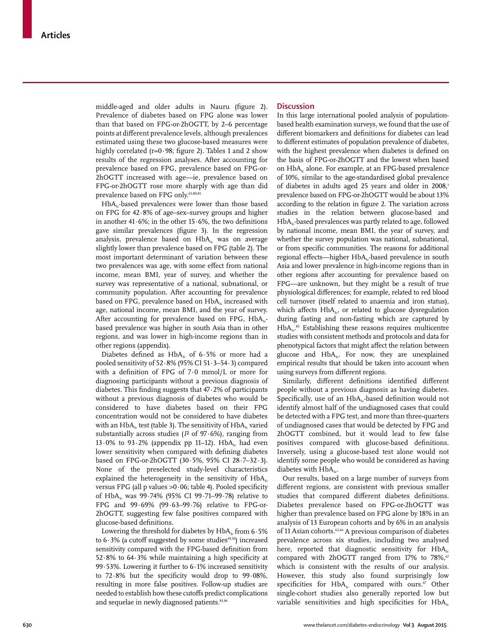middle-aged and older adults in Nauru (figure 2). Prevalence of diabetes based on FPG alone was lower than that based on FPG-or-2hOGTT, by 2–6 percentage points at different prevalence levels, although prevalences estimated using these two glucose-based measures were highly correlated ( $r=0.98$ ; figure 2). Tables 1 and 2 show results of the regression analyses. After accounting for prevalence based on FPG, prevalence based on FPG-or-2hOGTT increased with age—ie, prevalence based on FPG-or-2hOGTT rose more sharply with age than did prevalence based on FPG only.<sup>65,80,81</sup>

 $HbA<sub>k</sub>$ -based prevalences were lower than those based on FPG for 42·8% of age–sex–survey groups and higher in another 41 $\cdot$  6%; in the other 15 $\cdot$  6%, the two definitions gave similar prevalences (figure 3). In the regression analysis, prevalence based on  $HbA<sub>1c</sub>$  was on average slightly lower than prevalence based on FPG (table 2). The most important determinant of variation between these two prevalences was age, with some effect from national income, mean BMI, year of survey, and whether the survey was representative of a national, subnational, or community population. After accounting for prevalence based on FPG, prevalence based on  $HbA_i$  increased with age, national income, mean BMI, and the year of survey. After accounting for prevalence based on FPG,  $HbA<sub>i</sub>$ . based prevalence was higher in south Asia than in other regions, and was lower in high-income regions than in other regions (appendix).

Diabetes defined as  $HbA<sub>1c</sub>$  of 6.5% or more had a pooled sensitivity of 52·8% (95% CI 51·3–54·3) compared with a definition of FPG of  $7.0 \text{ mmol/L}$  or more for diagnosing participants without a previous diagnosis of diabetes. This finding suggests that  $47.2\%$  of participants without a previous diagnosis of diabetes who would be considered to have diabetes based on their FPG concentration would not be considered to have diabetes with an  $HbA<sub>1c</sub>$  test (table 3). The sensitivity of  $HbA<sub>1c</sub>$  varied substantially across studies (*I*² of 97·6%), ranging from 13 $\cdot$ 0% to 93 $\cdot$ 2% (appendix pp 11–12). HbA<sub>1c</sub> had even lower sensitivity when compared with defining diabetes based on FPG-or-2hOGTT (30·5%, 95% CI 28·7–32·3). None of the preselected study-level characteristics explained the heterogeneity in the sensitivity of  $HbA<sub>1c</sub>$ versus FPG (all p values  $>0.06$ ; table 4). Pooled specificity of HbA<sub>1c</sub> was 99.74% (95% CI 99.71-99.78) relative to FPG and 99·69% (99·63–99·76) relative to FPG-or-2hOGTT, suggesting few false positives compared with glucose-based definitions.

Lowering the threshold for diabetes by  $HbA<sub>k</sub>$  from 6·5% to  $6.3\%$  (a cutoff suggested by some studies $49,50)$  increased sensitivity compared with the FPG-based definition from  $52.8\%$  to  $64.3\%$  while maintaining a high specificity at 99·53%. Lowering it further to 6·1% increased sensitivity to  $72.8\%$  but the specificity would drop to  $99.08\%$ , resulting in more false positives. Follow-up studies are needed to establish how these cutoffs predict complications and sequelae in newly diagnosed patients.<sup>83,84</sup>

#### **Discussion**

In this large international pooled analysis of populationbased health examination surveys, we found that the use of different biomarkers and definitions for diabetes can lead to different estimates of population prevalence of diabetes, with the highest prevalence when diabetes is defined on the basis of FPG-or-2hOGTT and the lowest when based on  $HbA<sub>i</sub>$  alone. For example, at an FPG-based prevalence of 10%, similar to the age-standardised global prevalence of diabetes in adults aged 25 years and older in 2008,<sup>1</sup> prevalence based on FPG-or-2hOGTT would be about 13% according to the relation in figure 2. The variation across studies in the relation between glucose-based and  $HbA<sub>1c</sub>$ -based prevalences was partly related to age, followed by national income, mean BMI, the year of survey, and whether the survey population was national, subnational, or from specific communities. The reasons for additional regional effects—higher HbA<sub>1c</sub>-based prevalence in south Asia and lower prevalence in high-income regions than in other regions after accounting for prevalence based on FPG—are unknown, but they might be a result of true physiological differences; for example, related to red blood cell turnover (itself related to anaemia and iron status), which affects  $HbA_{1c}$ , or related to glucose dysregulation during fasting and non-fasting which are captured by  $HbA<sub>1c</sub>$ <sup>85</sup> Establishing these reasons requires multicentre studies with consistent methods and protocols and data for phenotypical factors that might affect the relation between glucose and  $HbA<sub>i</sub>$ . For now, they are unexplained empirical results that should be taken into account when using surveys from different regions.

Similarly, different definitions identified different people without a previous diagnosis as having diabetes. Specifically, use of an HbA<sub>1c</sub>-based definition would not identify almost half of the undiagnosed cases that could be detected with a FPG test, and more than three-quarters of undiagnosed cases that would be detected by FPG and 2hOGTT combined, but it would lead to few false positives compared with glucose-based definitions. Inversely, using a glucose-based test alone would not identify some people who would be considered as having diabetes with  $HbA<sub>i</sub>$ .

Our results, based on a large number of surveys from different regions, are consistent with previous smaller studies that compared different diabetes definitions. Diabetes prevalence based on FPG-or-2hOGTT was higher than prevalence based on FPG alone by 18% in an analysis of 13 European cohorts and by 6% in an analysis of 11 Asian cohorts.<sup>63,64</sup> A previous comparison of diabetes prevalence across six studies, including two analysed here, reported that diagnostic sensitivity for  $HbA$ <sub>1c</sub> compared with 2hOGTT ranged from 17% to 78%, $67$ which is consistent with the results of our analysis. However, this study also found surprisingly low specificities for HbA<sub>1c</sub> compared with ours.<sup>67</sup> Other single-cohort studies also generally reported low but variable sensitivities and high specificities for  $HbA<sub>1c</sub>$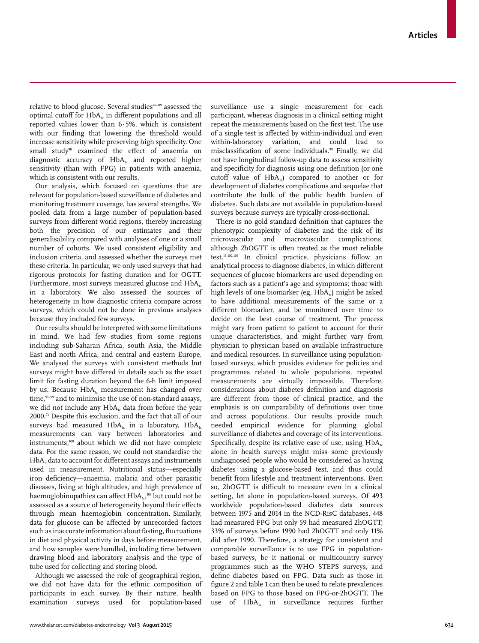relative to blood glucose. Several studies<sup>86-89</sup> assessed the optimal cutoff for  $HbA_i$  in different populations and all reported values lower than 6·5%, which is consistent with our finding that lowering the threshold would increase sensitivity while preserving high specificity. One small study<sup>90</sup> examined the effect of anaemia on diagnostic accuracy of  $HbA<sub>1c</sub>$  and reported higher sensitivity (than with FPG) in patients with anaemia, which is consistent with our results.

Our analysis, which focused on questions that are relevant for population-based surveillance of diabetes and monitoring treatment coverage, has several strengths. We pooled data from a large number of population-based surveys from different world regions, thereby increasing both the precision of our estimates and their generalisability compared with analyses of one or a small number of cohorts. We used consistent eligibility and inclusion criteria, and assessed whether the surveys met these criteria. In particular, we only used surveys that had rigorous protocols for fasting duration and for OGTT. Furthermore, most surveys measured glucose and  $HbA_{1c}$ in a laboratory. We also assessed the sources of heterogeneity in how diagnostic criteria compare across surveys, which could not be done in previous analyses because they included few surveys.

Our results should be interpreted with some limitations in mind. We had few studies from some regions including sub-Saharan Africa, south Asia, the Middle East and north Africa, and central and eastern Europe. We analysed the surveys with consistent methods but surveys might have differed in details such as the exact limit for fasting duration beyond the 6-h limit imposed by us. Because HbA<sub>1c</sub> measurement has changed over time,<sup>91-99</sup> and to minimise the use of non-standard assays, we did not include any HbA<sub>1c</sub> data from before the year 2000.71 Despite this exclusion, and the fact that all of our surveys had measured  $HbA_{1c}$  in a laboratory,  $HbA_{1c}$ measurements can vary between laboratories and instruments,100 about which we did not have complete data. For the same reason, we could not standardise the  $HbA<sub>i</sub>$  data to account for different assays and instruments used in measurement. Nutritional status—especially iron deficiency—anaemia, malaria and other parasitic diseases, living at high altitudes, and high prevalence of haemoglobinopathies can affect  $H\mathrm{bA}_{\scriptscriptstyle{\text{IC}}}$ , $^{\scriptscriptstyle{001}}$  but could not be assessed as a source of heterogeneity beyond their effects through mean haemoglobin concentration. Similarly, data for glucose can be affected by unrecorded factors such as inaccurate information about fasting, fluctuations in diet and physical activity in days before measurement, and how samples were handled, including time between drawing blood and laboratory analysis and the type of tube used for collecting and storing blood.

Although we assessed the role of geographical region, we did not have data for the ethnic composition of participants in each survey. By their nature, health examination surveys used for population-based surveillance use a single measurement for each participant, whereas diagnosis in a clinical setting might repeat the measurements based on the first test. The use of a single test is affected by within-individual and even within-laboratory variation, and could lead to misclassification of some individuals.<sup>99</sup> Finally, we did not have longitudinal follow-up data to assess sensitivity and specificity for diagnosis using one definition (or one cutoff value of  $HbA_{1c}$ ) compared to another or for development of diabetes complications and sequelae that contribute the bulk of the public health burden of diabetes. Such data are not available in population-based surveys because surveys are typically cross-sectional.

There is no gold standard definition that captures the phenotypic complexity of diabetes and the risk of its microvascular and macrovascular complications, although 2hOGTT is often treated as the most reliable test.15,102,103 In clinical practice, physicians follow an analytical process to diagnose diabetes, in which different sequences of glucose biomarkers are used depending on factors such as a patient's age and symptoms; those with high levels of one biomarker (eg,  $HbA_{1c}$ ) might be asked to have additional measurements of the same or a different biomarker, and be monitored over time to decide on the best course of treatment. The process might vary from patient to patient to account for their unique characteristics, and might further vary from physician to physician based on available infrastructure and medical resources. In surveillance using populationbased surveys, which provides evidence for policies and programmes related to whole populations, repeated measurements are virtually impossible. Therefore, considerations about diabetes definition and diagnosis are different from those of clinical practice, and the emphasis is on comparability of definitions over time and across populations. Our results provide much needed empirical evidence for planning global surveillance of diabetes and coverage of its interventions. Specifically, despite its relative ease of use, using  $HbA_{1c}$ alone in health surveys might miss some previously undiagnosed people who would be considered as having diabetes using a glucose-based test, and thus could benefit from lifestyle and treatment interventions. Even so, 2hOGTT is difficult to measure even in a clinical setting, let alone in population-based surveys. Of 493 worldwide population-based diabetes data sources between 1975 and 2014 in the NCD-RisC databases, 448 had measured FPG but only 59 had measured 2hOGTT; 33% of surveys before 1990 had 2hOGTT and only 11% did after 1990. Therefore, a strategy for consistent and comparable surveillance is to use FPG in populationbased surveys, be it national or multicountry survey programmes such as the WHO STEPS surveys, and define diabetes based on FPG. Data such as those in figure 2 and table 1 can then be used to relate prevalences based on FPG to those based on FPG-or-2hOGTT. The use of  $HbA<sub>i</sub>$  in surveillance requires further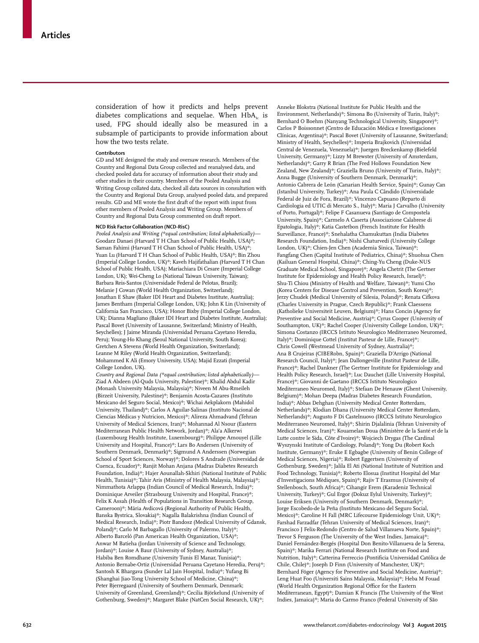consideration of how it predicts and helps prevent diabetes complications and sequelae. When  $HbA_{1c}$  is used, FPG should ideally also be measured in a subsample of participants to provide information about how the two tests relate.

#### **Contributors**

GD and ME designed the study and oversaw research. Members of the Country and Regional Data Group collected and reanalysed data, and checked pooled data for accuracy of information about their study and other studies in their country. Members of the Pooled Analysis and Writing Group collated data, checked all data sources in consultation with the Country and Regional Data Group, analysed pooled data, and prepared results. GD and ME wrote the first draft of the report with input from other members of Pooled Analysis and Writing Group. Members of Country and Regional Data Group commented on draft report.

#### **NCD Risk Factor Collaboration (NCD-RisC)**

*Pooled Analysis and Writing (\*equal contribution; listed alphabetically)—* Goodarz Danaei (Harvard T H Chan School of Public Health, USA)\*; Saman Fahimi (Harvard T H Chan School of Public Health, USA)\*; Yuan Lu (Harvard T H Chan School of Public Health, USA)\*; Bin Zhou (Imperial College London, UK)\*; Kaveh Hajifathalian (Harvard T H Chan School of Public Health, USA); Mariachiara Di Cesare (Imperial College London, UK); Wei-Cheng Lo (National Taiwan University, Taiwan); Barbara Reis-Santos (Universidade Federal de Pelotas, Brazil); Melanie J Cowan (World Health Organization, Switzerland); Jonathan E Shaw (Baker IDI Heart and Diabetes Institute, Australia); James Bentham (Imperial College London, UK); John K Lin (University of California San Francisco, USA); Honor Bixby (Imperial College London, UK); Dianna Magliano (Baker IDI Heart and Diabetes Institute, Australia); Pascal Bovet (University of Lausanne, Switzerland; Ministry of Health, Seychelles); J Jaime Miranda (Universidad Peruana Cayetano Heredia, Peru); Young-Ho Khang (Seoul National University, South Korea); Gretchen A Stevens (World Health Organization, Switzerland); Leanne M Riley (World Health Organization, Switzerland); Mohammed K Ali (Emory University, USA); Majid Ezzati (Imperial College London, UK).

*Country and Regional Data (\*equal contribution; listed alphabetically)—* Ziad A Abdeen (Al-Quds University, Palestine)\*; Khalid Abdul Kadir (Monash University Malaysia, Malaysia)\*; Niveen M Abu-Rmeileh (Birzeit University, Palestine)\*; Benjamin Acosta-Cazares (Instituto Mexicano del Seguro Social, Mexico)\*; Wichai Aekplakorn (Mahidol University, Thailand)\*; Carlos A Aguilar-Salinas (Instituto Nacional de Ciencias Médicas y Nutricion, Mexico)\*; Alireza Ahmadvand (Tehran University of Medical Sciences, Iran)\*; Mohannad Al Nsour (Eastern Mediterranean Public Health Network, Jordan)\*; Ala'a Alkerwi (Luxembourg Health Institute, Luxembourg)\*; Philippe Amouyel (Lille University and Hospital, France)\*; Lars Bo Andersen (University of Southern Denmark, Denmark)\*; Sigmund A Anderssen (Norwegian School of Sport Sciences, Norway)\*; Dolores S Andrade (Universidad de Cuenca, Ecuador)\*; Ranjit Mohan Anjana (Madras Diabetes Research Foundation, India)\*; Hajer Aounallah-Skhiri (National Institute of Public Health, Tunisia)\*; Tahir Aris (Ministry of Health Malaysia, Malaysia)\*; Nimmathota Arlappa (Indian Council of Medical Research, India)\*; Dominique Arveiler (Strasbourg University and Hospital, France)\*; Felix K Assah (Health of Populations in Transition Research Group, Cameroon)\*; Mária Avdicová (Regional Authority of Public Health, Banska Bystrica, Slovakia)\*; Nagalla Balakrishna (Indian Council of Medical Research, India)\*; Piotr Bandosz (Medical University of Gdansk, Poland)\*; Carlo M Barbagallo (University of Palermo, Italy)\*; Alberto Barceló (Pan American Health Organization, USA)\*; Anwar M Batieha (Jordan University of Science and Technology, Jordan)\*; Louise A Baur (University of Sydney, Australia)\*; Habiba Ben Romdhane (University Tunis El Manar, Tunisia)\*; Antonio Bernabe-Ortiz (Universidad Peruana Cayetano Heredia, Peru)\*; Santosh K Bhargava (Sunder Lal Jain Hospital, India)\*; Yufang Bi (Shanghai Jiao-Tong University School of Medicine, China)\*; Peter Bjerregaard (University of Southern Denmark, Denmark; University of Greenland, Greenland)\*; Cecilia Björkelund (University of Gothenburg, Sweden)\*; Margaret Blake (NatCen Social Research, UK)\*;

Anneke Blokstra (National Institute for Public Health and the Environment, Netherlands)\*; Simona Bo (University of Turin, Italy)\*; Bernhard O Boehm (Nanyang Technological University, Singapore)\*; Carlos P Boissonnet (Centro de Educación Médica e Investigaciones Clínicas, Argentina)\*; Pascal Bovet (University of Lausanne, Switzerland; Ministry of Health, Seychelles)\*; Imperia Brajkovich (Universidad Central de Venezuela, Venezuela)\*; Juergen Breckenkamp (Bielefeld University, Germany)\*; Lizzy M Brewster (University of Amsterdam, Netherlands)\*; Garry R Brian (The Fred Hollows Foundation New Zealand, New Zealand)\*; Graziella Bruno (University of Turin, Italy)\*; Anna Bugge (University of Southern Denmark, Denmark)\*; Antonio Cabrera de León (Canarian Health Service, Spain)\*; Gunay Can (Istanbul University, Turkey)\*; Ana Paula C Cândido (Universidade Federal de Juiz de Fora, Brazil)\*; Vincenzo Capuano (Reparto di Cardiologia ed UTIC di Mercato S., Italy)\*; Maria J Carvalho (University of Porto, Portugal)\*; Felipe F Casanueva (Santiago de Compostela University, Spain)\*; Carmelo A Caserta (Associazione Calabrese di Epatologia, Italy)\*; Katia Castetbon (French Institute for Health Surveillance, France)\*; Snehalatha Chamukuttan (India Diabetes Research Foundation, India)\*; Nishi Chaturvedi (University College London, UK)\*; Chien-Jen Chen (Academia Sinica, Taiwan)\*; Fangfang Chen (Capital Institute of Pediatrics, China)\*; Shuohua Chen (Kailuan General Hospital, China)\*; Ching-Yu Cheng (Duke-NUS Graduate Medical School, Singapore)\*; Angela Chetrit (The Gertner Institute for Epidemiology and Health Policy Research, Israel)\*; Shu-Ti Chiou (Ministry of Health and Welfare, Taiwan)\*; Yumi Cho (Korea Centers for Disease Control and Prevention, South Korea)\*; Jerzy Chudek (Medical University of Silesia, Poland)\*; Renata Cifkova (Charles University in Prague, Czech Republic)\*; Frank Claessens (Katholieke Universiteit Leuven, Belgium)\*; Hans Concin (Agency for Preventive and Social Medicine, Austria)\*; Cyrus Cooper (University of Southampton, UK)\*; Rachel Cooper (University College London, UK)\*; Simona Costanzo (IRCCS Istituto Neurologico Mediterraneo Neuromed, Italy)\*; Dominique Cottel (Institut Pasteur de Lille, France)\*; Chris Cowell (Westmead University of Sydney, Australia)\*; Ana B Crujeiras (CIBERobn, Spain)\*; Graziella D'Arrigo (National Research Council, Italy)\*; Jean Dallongeville (Institut Pasteur de Lille, France)\*; Rachel Dankner (The Gertner Institute for Epidemiology and Health Policy Research, Israel)\*; Luc Dauchet (Lille University Hospital, France)\*; Giovanni de Gaetano (IRCCS Istituto Neurologico Mediterraneo Neuromed, Italy)\*; Stefaan De Henauw (Ghent University, Belgium)\*; Mohan Deepa (Madras Diabetes Research Foundation, India)\*; Abbas Dehghan (University Medical Center Rotterdam, Netherlands)\*; Klodian Dhana (University Medical Center Rotterdam, Netherlands)\*; Augusto F Di Castelnuovo (IRCCS Istituto Neurologico Mediterraneo Neuromed, Italy)\*; Shirin Djalalinia (Tehran University of Medical Sciences, Iran)\*; Kouamelan Doua (Ministère de la Santé et de la Lutte contre le Sida, Côte d'Ivoire)\*; Wojciech Drygas (The Cardinal Wyszynski Institute of Cardiology, Poland)\*; Yong Du (Robert Koch Institute, Germany)\*; Eruke E Egbagbe (University of Benin College of Medical Sciences, Nigeria)\*; Robert Eggertsen (University of Gothenburg, Sweden)\*; Jalila El Ati (National Institute of Nutrition and Food Technology, Tunisia)\*; Roberto Elosua (Institut Hospital del Mar d'Investigacions Mèdiques, Spain)\*; Rajiv T Erasmus (University of Stellenbosch, South Africa)\*; Cihangir Erem (Karadeniz Technical University, Turkey)\*; Gul Ergor (Dokuz Eylul University, Turkey)\*; Louise Eriksen (University of Southern Denmark, Denmark)\* Jorge Escobedo-de la Peña (Instituto Mexicano del Seguro Social, Mexico)\*; Caroline H Fall (MRC Lifecourse Epidemiology Unit, UK)\*; Farshad Farzadfar (Tehran University of Medical Sciences, Iran)\*; Francisco J Felix-Redondo (Centro de Salud Villanueva Norte, Spain)\*; Trevor S Ferguson (The University of the West Indies, Jamaica)\* Daniel Fernández-Bergés (Hospital Don Benito-Villanueva de la Serena, Spain)\*; Marika Ferrari (National Research Institute on Food and Nutrition, Italy)\*; Catterina Ferreccio (Pontificia Universidad Católica de Chile, Chile)\*; Joseph D Finn (University of Manchester, UK)\*; Bernhard Föger (Agency for Preventive and Social Medicine, Austria)\*; Leng Huat Foo (Universiti Sains Malaysia, Malaysia)\*; Heba M Fouad (World Health Organization Regional Office for the Eastern Mediterranean, Egypt)\*; Damian K Francis (The University of the West Indies, Jamaica)\*; Maria do Carmo Franco (Federal University of São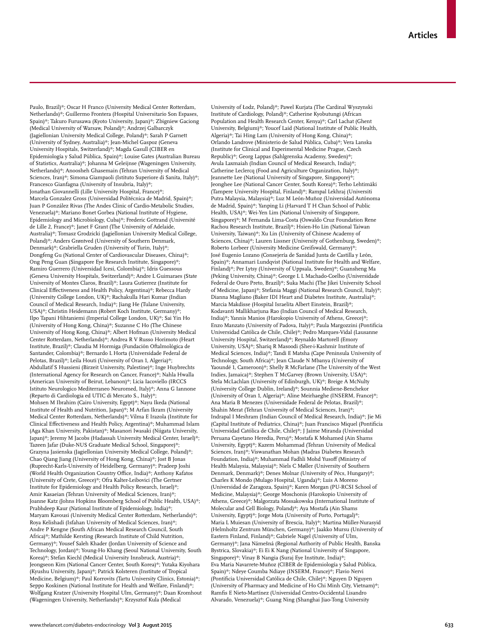Paulo, Brazil)\*; Oscar H Franco (University Medical Center Rotterdam, Netherlands)\*; Guillermo Frontera (Hospital Universitario Son Espases, Spain)\*; Takuro Furusawa (Kyoto University, Japan)\*; Zbigniew Gaciong (Medical University of Warsaw, Poland)\*; Andrzej Galbarczyk (Jagiellonian University Medical College, Poland)\*; Sarah P Garnett (University of Sydney, Australia)\*; Jean-Michel Gaspoz (Geneva University Hospitals, Switzerland)\*; Magda Gasull (CIBER en Epidemiología y Salud Pública, Spain)\*; Louise Gates (Australian Bureau of Statistics, Australia)\*; Johanna M Geleijnse (Wageningen University, Netherlands)\*; Anoosheh Ghasemain (Tehran University of Medical Sciences, Iran)\*; Simona Giampaoli (Istituto Superiore di Sanita, Italy)\*; Francesco Gianfagna (University of Insubria, Italy)\*; Jonathan Giovannelli (Lille University Hospital, France)\*; Marcela Gonzalez Gross (Universidad Politécnica de Madrid, Spain)\*; Juan P González Rivas (The Andes Clinic of Cardio-Metabolic Studies, Venezuela)\*; Mariano Bonet Gorbea (National Institute of Hygiene, Epidemiology and Microbiology, Cuba)\*; Frederic Gottrand (Université de Lille 2, France)\*; Janet F Grant (The University of Adelaide, Australia)\*; Tomasz Grodzicki (Jagiellonian University Medical College, Poland)\*; Anders Grøntved (University of Southern Denmark, Denmark)\*; Grabriella Gruden (University of Turin, Italy)\*; Dongfeng Gu (National Center of Cardiovascular Diseases, China)\*; Ong Peng Guan (Singapore Eye Research Institute, Singapore)\*; Ramiro Guerrero (Universidad Icesi, Colombia)\*; Idris Guessous (Geneva University Hospitals, Switzerland)\*; Andre L Guimaraes (State University of Montes Claros, Brazil)\*; Laura Gutierrez (Institute for Clinical Effectiveness and Health Policy, Argentina)\*; Rebecca Hardy (University College London, UK)\*; Rachakulla Hari Kumar (Indian Council of Medical Research, India)\*; Jiang He (Tulane University, USA)\*; Christin Heidemann (Robert Koch Institute, Germany)\*; Ilpo Tapani Hihtaniemi (Imperial College London, UK)\*; Sai Yin Ho (University of Hong Kong, China)\*; Suzanne C Ho (The Chinese University of Hong Kong, China)\*; Albert Hofman (University Medical Center Rotterdam, Netherlands)\*; Andrea R V Russo Horimoto (Heart Institute, Brazil)\*; Claudia M Hormiga (Fundación Oftalmológica de Santander, Colombia)\*; Bernardo L Horta (Universidade Federal de Pelotas, Brazil)\*; Leila Houti (University of Oran 1, Algeria)\*; Abdullatif S Hussieni (Birzeit University, Palestine)\*; Inge Huybrechts (International Agency for Research on Cancer, France)\*; Nahla Hwalla (American University of Beirut, Lebanon)\*; Licia Iacoviello (IRCCS Istituto Neurologico Mediterraneo Neuromed, Italy)\*; Anna G Iannone (Reparto di Cardiologia ed UTIC di Mercato S., Italy)\*; Mohsen M Ibrahim (Cairo University, Egypt)\*; Nayu Ikeda (National Institute of Health and Nutrition, Japan)\*; M Arfan Ikram (University Medical Center Rotterdam, Netherlands)\*; Vilma E Irazola (Institute for Clinical Effectiveness and Health Policy, Argentina)\*; Muhammad Islam (Aga Khan University, Pakistan)\*; Masanori Iwasaki (Niigata University, Japan)\*; Jeremy M Jacobs (Hadassah University Medical Center, Israel)\*; Tazeen Jafar (Duke-NUS Graduate Medical School, Singapore)\*; Grazyna Jasienska (Jagiellonian University Medical College, Poland)\*; Chao Qiang Jiang (University of Hong Kong, China)\*; Jost B Jonas (Ruprecht-Karls-University of Heidelberg, Germany)\*; Pradeep Joshi (World Health Organization Country Office, India)\*; Anthony Kafatos (University of Crete, Greece)\*; Ofra Kalter-Leibovici (The Gertner Institute for Epidemiology and Health Policy Research, Israel)\*; Amir Kasaeian (Tehran University of Medical Sciences, Iran)\*; Joanne Katz (Johns Hopkins Bloomberg School of Public Health, USA)\*; Prabhdeep Kaur (National Institute of Epidemiology, India)\*; Maryam Kavousi (University Medical Center Rotterdam, Netherlands)\*; Roya Kelishadi (Isfahan University of Medical Sciences, Iran)\*; Andre P Kengne (South African Medical Research Council, South Africa)\*; Mathilde Kersting (Research Institute of Child Nutrition, Germany)\*; Yousef Saleh Khader (Jordan University of Science and Technology, Jordan)\*; Young-Ho Khang (Seoul National University, South Korea)\*; Stefan Kiechl (Medical University Innsbruck, Austria)\*; Jeongseon Kim (National Cancer Center, South Korea)\*; Yutaka Kiyohara (Kyushu University, Japan)\*; Patrick Kolsteren (Institute of Tropical Medicine, Belgium)\*; Paul Korrovits (Tartu University Clinics, Estonia)\*; Seppo Koskinen (National Institute for Health and Welfare, Finland)\*; Wolfgang Kratzer (University Hospital Ulm, Germany)\*; Daan Kromhout (Wageningen University, Netherlands)\*; Krzysztof Kula (Medical

University of Łodz, Poland)\*; Pawel Kurjata (The Cardinal Wyszynski Institute of Cardiology, Poland)\*; Catherine Kyobutungi (African Population and Health Research Center, Kenya)\*; Carl Lachat (Ghent University, Belgium)\*; Youcef Laid (National Institute of Public Health, Algeria)\*; Tai Hing Lam (University of Hong Kong, China)\*; Orlando Landrove (Ministerio de Salud Pública, Cuba)\*; Vera Lanska (Institute for Clinical and Experimental Medicine Prague, Czech Republic)\*; Georg Lappas (Sahlgrenska Academy, Sweden)\*; Avula Laxmaiah (Indian Council of Medical Research, India)\*; Catherine Leclercq (Food and Agriculture Organization, Italy)\*; Jeannette Lee (National University of Singapore, Singapore)\*; Jeonghee Lee (National Cancer Center, South Korea)\*; Terho Lehtimäki (Tampere University Hospital, Finland)\*; Rampal Lekhraj (Universiti Putra Malaysia, Malaysia)\*; Luz M León-Muñoz (Universidad Autónoma de Madrid, Spain)\*; Yanping Li (Harvard T H Chan School of Public Health, USA)\*; Wei-Yen Lim (National University of Singapore, Singapore)\*; M Fernanda Lima-Costa (Oswaldo Cruz Foundation Rene Rachou Research Institute, Brazil)\*; Hsien-Ho Lin (National Taiwan University, Taiwan)\*; Xu Lin (University of Chinese Academy of Sciences, China)\*; Lauren Lissner (University of Gothenburg, Sweden)\*; Roberto Lorbeer (University Medicine Greifswald, Germany)\*; José Eugenio Lozano (Consejería de Sanidad Junta de Castilla y León, Spain)\*; Annamari Lundqvist (National Institute for Health and Welfare, Finland)\*; Per Lytsy (University of Uppsala, Sweden)\*; Guansheng Ma (Peking University, China)\*; George L L Machado-Coelho (Universidade Federal de Ouro Preto, Brazil)\*; Suka Machi (The Jikei University School of Medicine, Japan)\*; Stefania Maggi (National Research Council, Italy)\*; Dianna Magliano (Baker IDI Heart and Diabetes Institute, Australia)\*; Marcia Makdisse (Hospital Israelita Albert Einstein, Brazil)\*; Kodavanti Mallikharjuna Rao (Indian Council of Medical Research, India)\*; Yannis Manios (Harokopio University of Athens, Greece)\*; Enzo Manzato (University of Padova, Italy)\*; Paula Margozzini (Pontificia Universidad Católica de Chile, Chile)\*; Pedro Marques-Vidal (Lausanne University Hospital, Switzerland)\*; Reynaldo Martorell (Emory University, USA)\*; Shariq R Masoodi (Sher-i-Kashmir Institute of Medical Sciences, India)\*; Tandi E Matsha (Cape Peninsula University of Technology, South Africa)\*; Jean Claude N Mbanya (University of Yaoundé 1, Cameroon)\*; Shelly R McFarlane (The University of the West Indies, Jamaica)\*; Stephen T McGarvey (Brown University, USA)\*; Stela McLachlan (University of Edinburgh, UK)\*; Breige A McNulty (University College Dublin, Ireland)\*; Sounnia Mediene-Benchekor (University of Oran 1, Algeria)\*; Aline Meirhaeghe (INSERM, France)\*; Ana Maria B Menezes (Universidade Federal de Pelotas, Brazil)\*; Shahin Merat (Tehran University of Medical Sciences, Iran)\*; Indrapal I Meshram (Indian Council of Medical Research, India)\*; Jie Mi (Capital Institute of Pediatrics, China)\*; Juan Francisco Miquel (Pontificia Universidad Católica de Chile, Chile)\*; J Jaime Miranda (Universidad Peruana Cayetano Heredia, Peru)\*; Mostafa K Mohamed (Ain Shams University, Egypt)\*; Kazem Mohammad (Tehran University of Medical Sciences, Iran)\*; Viswanathan Mohan (Madras Diabetes Research Foundation, India)\*; Muhammad Fadhli Mohd Yusoff (Ministry of Health Malaysia, Malaysia)\*; Niels C Møller (University of Southern Denmark, Denmark)\*; Denes Molnar (University of Pécs, Hungary)\*; Charles K Mondo (Mulago Hospital, Uganda)\*; Luis A Moreno (Universidad de Zaragoza, Spain)\*; Karen Morgan (PU-RCSI School of Medicine, Malaysia)\*; George Moschonis (Harokopio University of Athens, Greece)\*; Malgorzata Mossakowska (International Institute of Molecular and Cell Biology, Poland)\*; Aya Mostafa (Ain Shams University, Egypt)\*; Jorge Mota (University of Porto, Portugal)\*; Maria L Muiesan (University of Brescia, Italy)\*; Martina Müller-Nurasyid (Helmholtz Zentrum München, Germany)\*; Jaakko Mursu (University of Eastern Finland, Finland)\*; Gabriele Nagel (University of Ulm, Germany)\*; Jana Námešná (Regional Authority of Public Health, Banska Bystrica, Slovakia)\*; Ei Ei K Nang (National University of Singapore, Singapore)\*; Vinay B Nangia (Suraj Eye Institute, India)\*; Eva Maria Navarrete-Muñoz (CIBER de Epidemiología y Salud Pública, Spain)\*; Ndeye Coumba Ndiaye (INSERM, France)\*; Flavio Nervi (Pontificia Universidad Católica de Chile, Chile)\*; Nguyen D Nguyen (University of Pharmacy and Medicine of Ho Chi Minh City, Vietnam)\*; Ramfis E Nieto-Martínez (Universidad Centro-Occidental Lisandro Alvarado, Venezuela)\*; Guang Ning (Shanghai Jiao-Tong University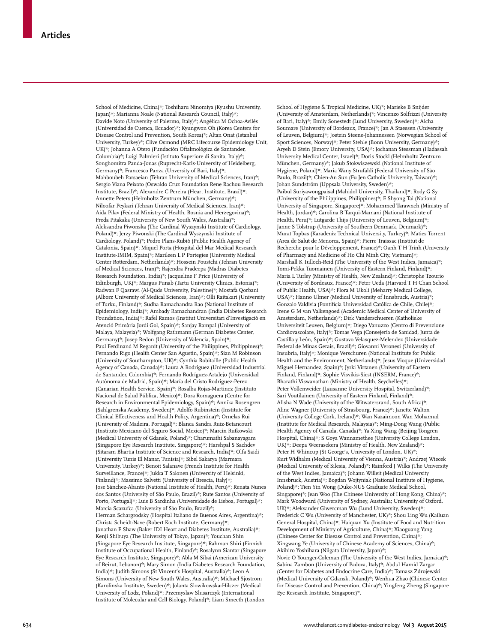School of Medicine, China)\*; Toshiharu Ninomiya (Kyushu University, Japan)\*; Marianna Noale (National Research Council, Italy)\*; Davide Noto (University of Palermo, Italy)\*; Angélica M Ochoa-Avilés (Universidad de Cuenca, Ecuador)\*; Kyungwon Oh (Korea Centers for Disease Control and Prevention, South Korea)\*; Altan Onat (Istanbul University, Turkey)\*; Clive Osmond (MRC Lifecourse Epidemiology Unit, UK)\*; Johanna A Otero (Fundación Oftalmológica de Santander, Colombia)\*; Luigi Palmieri (Istituto Superiore di Sanita, Italy)\*; Songhomitra Panda-Jonas (Ruprecht-Karls-University of Heidelberg, Germany)\*; Francesco Panza (Unversity of Bari, Italy)\*; Mahboubeh Parsaeian (Tehran University of Medical Sciences, Iran)\*; Sergio Viana Peixoto (Oswaldo Cruz Foundation Rene Rachou Research Institute, Brazil)\*; Alexandre C Pereira (Heart Institute, Brazil)\*; Annette Peters (Helmholtz Zentrum München, Germany)\*; Niloofar Peykari (Tehran University of Medical Sciences, Iran)\* Aida Pilav (Federal Ministry of Health, Bosnia and Herzegovina)\*; Freda Pitakaka (University of New South Wales, Australia)\*; Aleksandra Piwonska (The Cardinal Wyszynski Institute of Cardiology, Poland)\*; Jerzy Piwonski (The Cardinal Wyszynski Institute of Cardiology, Poland)\*; Pedro Plans-Rubió (Public Health Agency of Catalonia, Spain)\*; Miquel Porta (Hospital del Mar Medical Research Institute-IMIM, Spain)\*; Marileen L P Portegies (University Medical Center Rotterdam, Netherlands)\*; Hossein Poustchi (Tehran University of Medical Sciences, Iran)\*; Rajendra Pradeepa (Madras Diabetes Research Foundation, India)\*; Jacqueline F Price (University of Edinburgh, UK)\*; Margus Punab (Tartu University Clinics, Estonia)\*; Radwan F Qasrawi (Al-Quds University, Palestine)\*; Mostafa Qorbani (Alborz University of Medical Sciences, Iran)\*; Olli Raitakari (University of Turku, Finland)\*; Sudha Ramachandra Rao (National Institute of Epidemiology, India)\*; Ambady Ramachandran (India Diabetes Research Foundation, India)\*; Rafel Ramos (Institut Universitari d'Investigació en Atenció Primària Jordi Gol, Spain)\*; Sanjay Rampal (University of Malaya, Malaysia)\*; Wolfgang Rathmann (German Diabetes Center, Germany)\*; Josep Redon (University of Valencia, Spain)\*; Paul Ferdinand M Reganit (University of the Philippines, Philippines)\*; Fernando Rigo (Health Center San Agustin, Spain)\*; Sian M Robinson (University of Southampton, UK)\*; Cynthia Robitaille (Public Health Agency of Canada, Canada)\*; Laura A Rodríguez (Universidad Industrial de Santander, Colombia)\*; Fernando Rodríguez-Artalejo (Universidad Autónoma de Madrid, Spain)\*; María del Cristo Rodriguez-Perez (Canarian Health Service, Spain)\*; Rosalba Rojas-Martinez (Instituto Nacional de Salud Pública, Mexico)\*; Dora Romaguera (Centre for Research in Environmental Epidemiology, Spain)\*; Annika Rosengren (Sahlgrenska Academy, Sweden)\*; Adolfo Rubinstein (Institute for Clinical Effectiveness and Health Policy, Argentina)\*; Ornelas Rui (University of Madeira, Portugal)\*; Blanca Sandra Ruiz-Betancourt (Instituto Mexicano del Seguro Social, Mexico)\*; Marcin Rutkowski (Medical University of Gdansk, Poland)\*; Charumathi Sabanayagam (Singapore Eye Research Institute, Singapore)\*; Harshpal S Sachdev (Sitaram Bhartia Institute of Science and Research, India)\*; Olfa Saidi (University Tunis El Manar, Tunisia)\*; Sibel Sakarya (Marmara University, Turkey)\*; Benoit Salanave (French Institute for Health Surveillance, France)\*; Jukka T Salonen (University of Helsinki, Finland)\*; Massimo Salvetti (University of Brescia, Italy)\*; Jose Sánchez-Abanto (National Institute of Health, Peru)\*; Renata Nunes dos Santos (University of São Paulo, Brazil)\*; Rute Santos (University of Porto, Portugal)\*; Luis B Sardinha (Universidade de Lisboa, Portugal)\*; Marcia Scazufca (University of São Paulo, Brazil)\*; Herman Schargrodsky (Hospital Italiano de Buenos Aires, Argentina)\*; Christa Scheidt-Nave (Robert Koch Institute, Germany)\*; Jonathan E Shaw (Baker IDI Heart and Diabetes Institute, Australia)\*; Kenji Shibuya (The University of Tokyo, Japan)\*; Youchan Shin (Singapore Eye Research Institute, Singapore)\*; Rahman Shiri (Finnish Institute of Occupational Health, Finland)\*; Rosalynn Siantar (Singapore Eye Research Institute, Singapore)\*; Abla M Sibai (American University of Beirut, Lebanon)\*; Mary Simon (India Diabetes Research Foundation, India)\*; Judith Simons (St Vincent's Hospital, Australia)\*; Leon A Simons (University of New South Wales, Australia)\*; Michael Sjostrom (Karolinska Institute, Sweden)\*; Jolanta Slowikowska-Hilczer (Medical University of Łodz, Poland)\*; Przemyslaw Slusarczyk (International Institute of Molecular and Cell Biology, Poland)\*; Liam Smeeth (London

School of Hygiene & Tropical Medicine, UK)\*; Marieke B Snijder (University of Amsterdam, Netherlands)\*; Vincenzo Solfrizzi (University of Bari, Italy)\*; Emily Sonestedt (Lund University, Sweden)\*; Aicha Soumare (University of Bordeaux, France)\*; Jan A Staessen (University of Leuven, Belgium)\*; Jostein Steene-Johannessen (Norwegian School of Sport Sciences, Norway)\*: Peter Stehle (Bonn University, Germany)\*: Aryeh D Stein (Emory University, USA)\*; Jochanan Stessman (Hadassah University Medical Center, Israel)\*; Doris Stöckl (Helmholtz Zentrum München, Germany)\*; Jakub Stokwiszewski (National Institute of Hygiene, Poland)\*; Maria Wany Strufaldi (Federal University of São Paulo, Brazil)\*; Chien-An Sun (Fu Jen Catholic University, Taiwan)\*; Johan Sundström (Uppsala University, Sweden)\*; Paibul Suriyawongpaisal (Mahidol University, Thailand)\*; Rody G Sy (University of the Philippines, Philippines)\*; E Shyong Tai (National University of Singapore, Singapore)\*; Mohammed Tarawneh (Ministry of Health, Jordan)\*; Carolina B Tarqui-Mamani (National Institute of Health, Peru)\*; Lutgarde Thijs (University of Leuven, Belgium)\*; Janne S Tolstrup (University of Southern Denmark, Denmark)\*; Murat Topbas (Karadeniz Technical University, Turkey)\*; Maties Torrent (Area de Salut de Menorca, Spain)\*; Pierre Traissac (Institut de Recherche pour le Développement, France)\*; Oanh T H Trinh (University of Pharmacy and Medicine of Ho Chi Minh City, Vietnam)\*; Marshall K Tulloch-Reid (The University of the West Indies, Jamaica)\*; Tomi-Pekka Tuomainen (University of Eastern Finland, Finland)\*; Maria L Turley (Ministry of Health, New Zealand)\*; Christophe Tzourio (University of Bordeaux, France)\*; Peter Ueda (Harvard T H Chan School of Public Health, USA)\*; Flora M Ukoli (Meharry Medical College, USA)\*; Hanno Ulmer (Medical University of Innsbruck, Austria)\*; Gonzalo Valdivia (Pontificia Universidad Católica de Chile, Chile)\*; Irene G M van Valkengoed (Academic Medical Center of University of Amsterdam, Netherlands)\*; Dirk Vanderschueren (Katholieke Universiteit Leuven, Belgium)\*; Diego Vanuzzo (Centro di Prevenzione Cardiovascolare, Italy)\*; Tomas Vega (Consejería de Sanidad, Junta de Castilla y León, Spain)\*; Gustavo Velasquez-Melendez (Universidade Federal de Minas Gerais, Brazil)\*; Giovanni Veronesi (University of Insubria, Italy)\*; Monique Verschuren (National Institute for Public Health and the Environment, Netherlands)\*; Jesus Vioque (Universidad Miguel Hernandez, Spain)\*; Jyrki Virtanen (University of Eastern Finland, Finland)\*; Sophie Visvikis-Siest (INSERM, France)\*; Bharathi Viswanathan (Ministry of Health, Seychelles)\*; Peter Vollenweider (Lausanne University Hospital, Switzerland)\*; Sari Voutilainen (University of Eastern Finland, Finland)\*; Alisha N Wade (University of the Witwatersrand, South Africa)\*; Aline Wagner (University of Strasbourg, France)\*; Janette Walton (University College Cork, Ireland)\*; Wan Nazaimoon Wan Mohamud (Institute for Medical Research, Malaysia)\*; Ming-Dong Wang (Public Health Agency of Canada, Canada)\*; Ya Xing Wang (Beijing Tongren Hospital, China)\*; S Goya Wannamethee (University College London, UK)\*; Deepa Weerasekera (Ministry of Health, New Zealand)\*; Peter H Whincup (St George's, University of London, UK)\*; Kurt Widhalm (Medical University of Vienna, Austria)\*; Andrzej Wiecek (Medical University of Silesia, Poland)\*; Rainford J Wilks (The University of the West Indies, Jamaica)\*; Johann Willeit (Medical University Innsbruck, Austria)\*; Bogdan Wojtyniak (National Institute of Hygiene, Poland)\*; Tien Yin Wong (Duke-NUS Graduate Medical School, Singapore)\*; Jean Woo (The Chinese University of Hong Kong, China)\*; Mark Woodward (University of Sydney, Australia; University of Oxford, UK)\*; Aleksander Giwercman Wu (Lund University, Sweden)\*; Frederick C Wu (University of Manchester, UK)\*; Shou Ling Wu (Kailuan General Hospital, China)\*; Haiquan Xu (Institute of Food and Nutrition Development of Ministry of Agriculture, China)\*; Xiaoguang Yang (Chinese Center for Disease Control and Prevention, China)\*; Xingwang Ye (University of Chinese Academy of Sciences, China)\*; Akihiro Yoshihara (Niigata University, Japan)\*; Novie O Younger-Coleman (The University of the West Indies, Jamaica)\*; Sabina Zambon (University of Padova, Italy)\*; Abdul Hamid Zargar (Center for Diabetes and Endocrine Care, India)\*; Tomasz Zdrojewski (Medical University of Gdansk, Poland)\*; Wenhua Zhao (Chinese Center for Disease Control and Prevention, China)\*; Yingfeng Zheng (Singapore

Eye Research Institute, Singapore)\*.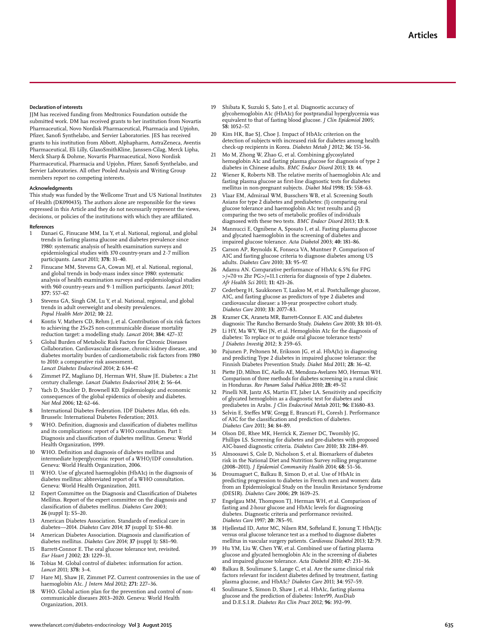#### **Declaration of interests**

JJM has received funding from Medtronics Foundation outside the submitted work. DM has received grants to her institution from Novartis Pharmaceutical, Novo Nordisk Pharmaceutical, Pharmacia and Upjohn, Pfizer, Sanofi Synthelabo, and Servier Laboratories. JES has received grants to his institution from Abbott, Alphapharm, AstraZeneca, Aventis Pharmaceutical, Eli Lilly, GlaxoSmithKline, Janssen-Cilag, Merck Lipha, Merck Sharp & Dohme, Novartis Pharmaceutical, Novo Nordisk Pharmaceutical, Pharmacia and Upjohn, Pfizer, Sanofi Synthelabo, and Servier Laboratories. All other Pooled Analysis and Writing Group members report no competing interests.

#### **Acknowledgments**

This study was funded by the Wellcome Trust and US National Institutes of Health (DK090435). The authors alone are responsible for the views expressed in this Article and they do not necessarily represent the views, decisions, or policies of the institutions with which they are affiliated.

#### **References**

- Danaei G, Finucane MM, Lu Y, et al. National, regional, and global trends in fasting plasma glucose and diabetes prevalence since 1980: systematic analysis of health examination surveys and epidemiological studies with 370 country-years and 2·7 million participants. *Lancet* 2011; **378:** 31–40.
- 2 Finucane MM, Stevens GA, Cowan MJ, et al. National, regional, and global trends in body-mass index since 1980: systematic analysis of health examination surveys and epidemiological studies with 960 country-years and 9·1 million participants. *Lancet* 2011; **377:** 557–67.
- 3 Stevens GA, Singh GM, Lu Y, et al. National, regional, and global trends in adult overweight and obesity prevalences. *Popul Health Metr* 2012; **10:** 22.
- Kontis V, Mathers CD, Rehm J, et al. Contribution of six risk factors to achieving the 25×25 non-communicable disease mortality reduction target: a modelling study. *Lancet* 2014; **384:** 427–37.
- 5 Global Burden of Metabolic Risk Factors for Chronic Diseases Collaboration. Cardiovascular disease, chronic kidney disease, and diabetes mortality burden of cardiometabolic risk factors from 1980 to 2010: a comparative risk assessment. *Lancet Diabetes Endocrinol* 2014; **2:** 634–47.
- 6 Zimmet PZ, Magliano DJ, Herman WH, Shaw JE. Diabetes: a 21st century challenge. *Lancet Diabetes Endocrinol* 2014; **2:** 56–64.
- Yach D, Stuckler D, Brownell KD. Epidemiologic and economic consequences of the global epidemics of obesity and diabetes. *Nat Med* 2006; **12:** 62–66.
- 8 International Diabetes Federation. IDF Diabetes Atlas, 6th edn. Brussels: International Diabetes Federation; 2013.
- WHO. Definition, diagnosis and classification of diabetes mellitus and its complications: report of a WHO consultation. Part 1: Diagnosis and classification of diabetes mellitus. Geneva: World Health Organization, 1999.
- 10 WHO. Definition and diagnosis of diabetes mellitus and intermediate hyperglycemia: report of a WHO/IDF consultation. Geneva: World Health Organization, 2006.
- 11 WHO. Use of glycated haemoglobin (HbA1c) in the diagnosis of diabetes mellitus: abbreviated report of a WHO consultation. Geneva: World Health Organization, 2011.
- 12 Expert Committee on the Diagnosis and Classification of Diabetes Mellitus. Report of the expert committee on the diagnosis and classifi cation of diabetes mellitus. *Diabetes Care* 2003; **26** (suppl 1)**:** S5–20.
- 13 American Diabetes Association. Standards of medical care in diabetes—2014. *Diabetes Care* 2014; **37** (suppl 1)**:** S14–80.
- 14 American Diabetes Association. Diagnosis and classification of diabetes mellitus. *Diabetes Care* 2014; **37** (suppl 1)**:** S81–90.
- 15 Barrett-Connor E. The oral glucose tolerance test, revisited. *Eur Heart J* 2002; **23:** 1229–31.
- Tobias M. Global control of diabetes: information for action. *Lancet* 2011; **378:** 3–4.
- 17 Hare MJ, Shaw JE, Zimmet PZ. Current controversies in the use of haemoglobin A1c. *J Intern Med* 2012; **271:** 227–36.
- 18 WHO. Global action plan for the prevention and control of noncommunicable diseases 2013–2020. Geneva: World Health Organization, 2013.
- 19 Shibata K, Suzuki S, Sato J, et al. Diagnostic accuracy of glycohemoglobin A1c (HbA1c) for postprandial hyperglycemia was equivalent to that of fasting blood glucose. *J Clin Epidemiol* 2005; **58:** 1052–57.
- 20 Kim HK, Bae SJ, Choe J. Impact of HbA1c criterion on the detection of subjects with increased risk for diabetes among health check-up recipients in Korea. *Diabetes Metab J* 2012; **36:** 151–56.
- 21 Mo M, Zhong W, Zhao G, et al. Combining glycosylated hemoglobin A1c and fasting plasma glucose for diagnosis of type 2 diabetes in Chinese adults. *BMC Endocr Disord* 2013; **13:** 44.
- 22 Wiener K, Roberts NB. The relative merits of haemoglobin A1c and fasting plasma glucose as first-line diagnostic tests for diabetes mellitus in non-pregnant subjects. *Diabet Med* 1998; **15:** 558–63.
- 23 Vlaar EM, Admiraal WM, Busschers WB, et al. Screening South Asians for type 2 diabetes and prediabetes: (1) comparing oral glucose tolerance and haemoglobin A1c test results and (2) comparing the two sets of metabolic profiles of individuals diagnosed with these two tests. *BMC Endocr Disord* 2013; **13:** 8.
- Mannucci E, Ognibene A, Sposato I, et al. Fasting plasma glucose and glycated haemoglobin in the screening of diabetes and impaired glucose tolerance. *Acta Diabetol* 2003; **40:** 181–86.
- 25 Carson AP, Reynolds K, Fonseca VA, Muntner P. Comparison of A1C and fasting glucose criteria to diagnose diabetes among US adults. *Diabetes Care* 2010; **33:** 95–97.
- 26 Adamu AN. Comparative performance of HbA1c 6.5% for FPG  $>$ /=7.0 vs 2hr PG $>$ /=11.1 criteria for diagnosis of type 2 diabetes. *Afr Health Sci* 2011; **11:** 421–26.
- 27 Cederberg H, Saukkonen T, Laakso M, et al. Postchallenge glucose, A1C, and fasting glucose as predictors of type 2 diabetes and cardiovascular disease: a 10-year prospective cohort study. *Diabetes Care* 2010; **33:** 2077–83.
- 28 Kramer CK, Araneta MR, Barrett-Connor E. A1C and diabetes diagnosis: The Rancho Bernardo Study. *Diabetes Care* 2010; **33:** 101–03.
- 29 Li HY, Ma WY, Wei JN, et al. Hemoglobin A1c for the diagnosis of diabetes: To replace or to guide oral glucose tolerance tests? *J Diabetes Investig* 2012; **3:** 259–65.
- Pajunen P, Peltonen M, Eriksson JG, et al. HbA(1c) in diagnosing and predicting Type 2 diabetes in impaired glucose tolerance: the Finnish Diabetes Prevention Study. *Diabet Med* 2011; **28:** 36–42.
- 31 Piette JD, Milton EC, Aiello AE, Mendoza-Avelares MO, Herman WH. Comparison of three methods for diabetes screening in a rural clinic in Honduras. *Rev Panam Salud Publica* 2010; **28:** 49–57.
- 32 Pinelli NR, Jantz AS, Martin ET, Jaber LA. Sensitivity and specificity of glycated hemoglobin as a diagnostic test for diabetes and prediabetes in Arabs. *J Clin Endocrinol Metab* 2011; **96:** E1680–83.
- 33 Selvin E, Steffes MW, Gregg E, Brancati FL, Coresh J. Performance of A1C for the classification and prediction of diabetes. *Diabetes Care* 2011; **34:** 84–89.
- 34 Olson DE, Rhee MK, Herrick K, Ziemer DC, Twombly JG, Phillips LS. Screening for diabetes and pre-diabetes with proposed A1C-based diagnostic criteria. *Diabetes Care* 2010; **33:** 2184–89.
- 35 Almoosawi S, Cole D, Nicholson S, et al. Biomarkers of diabetes risk in the National Diet and Nutrition Survey rolling programme (2008–2011). *J Epidemiol Community Health* 2014; **68:** 51–56.
- Droumaguet C, Balkau B, Simon D, et al. Use of HbA1c in predicting progression to diabetes in French men and women: data from an Epidemiological Study on the Insulin Resistance Syndrome (DESIR). *Diabetes Care* 2006; **29:** 1619–25.
- 37 Engelgau MM, Thompson TJ, Herman WH, et al. Comparison of fasting and 2-hour glucose and HbA1c levels for diagnosing diabetes. Diagnostic criteria and performance revisited. *Diabetes Care* 1997; **20:** 785–91.
- 38 Hjellestad ID, Astor MC, Nilsen RM, Softeland E, Jonung T. HbA(1)c versus oral glucose tolerance test as a method to diagnose diabetes mellitus in vascular surgery patients. *Cardiovasc Diabetol* 2013; **12:** 79.
- Hu YM, Liu W, Chen YW, et al. Combined use of fasting plasma glucose and glycated hemoglobin A1c in the screening of diabetes and impaired glucose tolerance. *Acta Diabetol* 2010; **47:** 231–36.
- 40 Balkau B, Soulimane S, Lange C, et al. Are the same clinical risk factors relevant for incident diabetes defined by treatment, fasting plasma glucose, and HbA1c? *Diabetes Care* 2011; **34:** 957–59.
- Soulimane S, Simon D, Shaw J, et al. HbA1c, fasting plasma glucose and the prediction of diabetes: Inter99, AusDiab and D.E.S.I.R. *Diabetes Res Clin Pract* 2012; **96:** 392–99.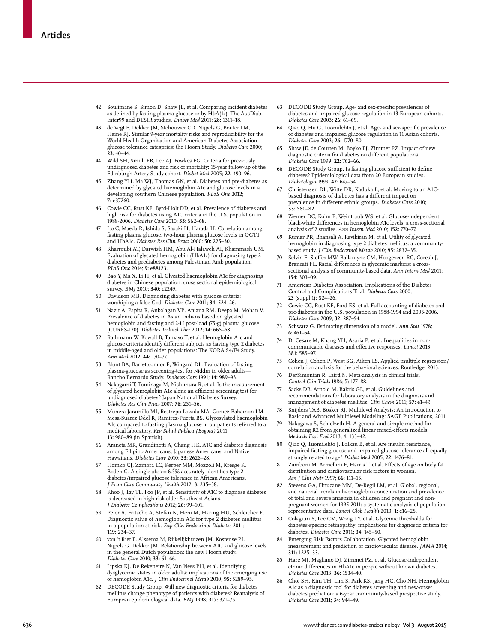- 42 Soulimane S, Simon D, Shaw JE, et al. Comparing incident diabetes as defined by fasting plasma glucose or by  $\overrightarrow{H}bA(1c)$ . The AusDiab, Inter99 and DESIR studies. *Diabet Med* 2011; **28:** 1311–18.
- 43 de Vegt F, Dekker JM, Stehouwer CD, Nijpels G, Bouter LM, Heine RJ. Similar 9-year mortality risks and reproducibility for the World Health Organization and American Diabetes Association glucose tolerance categories: the Hoorn Study. *Diabetes Care* 2000; **23:** 40–44.
- 44 Wild SH, Smith FB, Lee AJ, Fowkes FG. Criteria for previously undiagnosed diabetes and risk of mortality: 15-year follow-up of the Edinburgh Artery Study cohort. *Diabet Med* 2005; **22:** 490–96.
- 45 Zhang YH, Ma WJ, Thomas GN, et al. Diabetes and pre-diabetes as determined by glycated haemoglobin A1c and glucose levels in a developing southern Chinese population. *PLoS One* 2012; **7:** e37260.
- 46 Cowie CC, Rust KF, Byrd-Holt DD, et al. Prevalence of diabetes and high risk for diabetes using A1C criteria in the U.S. population in 1988-2006. *Diabetes Care* 2010; **33:** 562–68.
- Ito C, Maeda R, Ishida S, Sasaki H, Harada H. Correlation among fasting plasma glucose, two-hour plasma glucose levels in OGTT and HbA1c. *Diabetes Res Clin Pract* 2000; **50:** 225–30.
- 48 Kharroubi AT, Darwish HM, Abu Al-Halaweh AI, Khammash UM. Evaluation of glycated hemoglobin (HbA1c) for diagnosing type 2 diabetes and prediabetes among Palestinian Arab population. *PLoS One* 2014; **9:** e88123.
- 49 Bao Y, Ma X, Li H, et al. Glycated haemoglobin A1c for diagnosing diabetes in Chinese population: cross sectional epidemiological survey. *BMJ* 2010; **340:** c2249.
- 50 Davidson MB. Diagnosing diabetes with glucose criteria: worshiping a false God. *Diabetes Care* 2011; **34:** 524–26.
- 51 Nazir A, Papita R, Anbalagan VP, Anjana RM, Deepa M, Mohan V. Prevalence of diabetes in Asian Indians based on glycated hemoglobin and fasting and 2-H post-load (75-g) plasma glucose (CURES-120). *Diabetes Technol Ther* 2012; **14:** 665–68.
- 52 Rathmann W, Kowall B, Tamayo T, et al. Hemoglobin A1c and glucose criteria identify different subjects as having type 2 diabetes in middle-aged and older populations: The KORA S4/F4 Study. *Ann Med* 2012; **44:** 170–77.
- 53 Blunt BA, Barrettconnor E, Wingard DL. Evaluation of fasting plasma-glucose as screening-test for Niddm in older adults— Rancho Bernardo Study. *Diabetes Care* 1991; **14:** 989–93.
- 54 Nakagami T, Tominaga M, Nishimura R, et al. Is the measurement of glycated hemoglobin A1c alone an efficient screening test for undiagnosed diabetes? Japan National Diabetes Survey. *Diabetes Res Clin Pract* 2007; **76:** 251–56.
- 55 Munera-Jaramillo MI, Restrepo-Lozada MA, Gomez-Bahamon LM, Mesa-Suarez Ddel R, Ramirez-Puerta BS. Glycosylated haemoglobin A1c compared to fasting plasma glucose in outpatients referred to a medical laboratory. *Rev Salud Publica (Bogota)* 2011; **13:** 980–89 (in Spanish).
- 56 Araneta MR, Grandinetti A, Chang HK. A1C and diabetes diagnosis among Filipino Americans, Japanese Americans, and Native Hawaiians. *Diabetes Care* 2010; **33:** 2626–28.
- 57 Homko CJ, Zamora LC, Kerper MM, Mozzoli M, Kresge K, Boden G. A single a1c  $>= 6.5\%$  accurately identifies type 2 diabetes/impaired glucose tolerance in African Americans. *J Prim Care Community Health* 2012; **3:** 235–38.
- 58 Khoo J, Tay TL, Foo JP, et al. Sensitivity of A1C to diagnose diabetes is decreased in high-risk older Southeast Asians. *J Diabetes Complications* 2012; **26:** 99–101.
- 59 Peter A, Fritsche A, Stefan N, Heni M, Haring HU, Schleicher E. Diagnostic value of hemoglobin A1c for type 2 diabetes mellitus in a population at risk. *Exp Clin Endocrinol Diabetes* 2011; **119:** 234–37.
- 60 van 't Riet E, Alssema M, Rijkelijkhuizen JM, Kostense PJ, Nijpels G, Dekker JM. Relationship between A1C and glucose levels in the general Dutch population: the new Hoorn study. *Diabetes Care* 2010; **33:** 61–66.
- 61 Lipska KJ, De Rekeneire N, Van Ness PH, et al. Identifying dysglycemic states in older adults: implications of the emerging use of hemoglobin A1c. *J Clin Endocrinol Metab* 2010; **95:** 5289–95.
- 62 DECODE Study Group. Will new diagnostic criteria for diabetes mellitus change phenotype of patients with diabetes? Reanalysis of European epidemiological data. *BMJ* 1998; **317:** 371–75.
- 63 DECODE Study Group. Age- and sex-specific prevalences of diabetes and impaired glucose regulation in 13 European cohorts. *Diabetes Care* 2003; **26:** 61–69.
- Qiao Q, Hu G, Tuomilehto J, et al. Age- and sex-specific prevalence of diabetes and impaired glucose regulation in 11 Asian cohorts. *Diabetes Care* 2003; **26:** 1770–80.
- 65 Shaw JE, de Courten M, Boyko EJ, Zimmet PZ. Impact of new diagnostic criteria for diabetes on different populations. *Diabetes Care* 1999; **22:** 762–66.
- DECODE Study Group. Is fasting glucose sufficient to define diabetes? Epidemiological data from 20 European studies. *Diabetologia* 1999; **42:** 647–54.
- 67 Christensen DL, Witte DR, Kaduka L, et al. Moving to an A1Cbased diagnosis of diabetes has a different impact on prevalence in different ethnic groups. *Diabetes Care* 2010; **33:** 580–82.
- 68 Ziemer DC, Kolm P, Weintraub WS, et al. Glucose-independent, black-white differences in hemoglobin A1c levels: a cross-sectional analysis of 2 studies. *Ann Intern Med* 2010; **152:** 770–77.
- 69 Kumar PR, Bhansali A, Ravikiran M, et al. Utility of glycated hemoglobin in diagnosing type 2 diabetes mellitus: a communitybased study. *J Clin Endocrinol Metab* 2010; **95:** 2832–35.
- 70 Selvin E, Steffes MW, Ballantyne CM, Hoogeveen RC, Coresh J, Brancati FL. Racial differences in glycemic markers: a crosssectional analysis of community-based data. *Ann Intern Med* 2011; **154:** 303–09.
- 71 American Diabetes Association. Implications of the Diabetes Control and Complications Trial. *Diabetes Care* 2000; **23** (suppl 1)**:** S24–26.
- 72 Cowie CC, Rust KF, Ford ES, et al. Full accounting of diabetes and pre-diabetes in the U.S. population in 1988-1994 and 2005-2006. *Diabetes Care* 2009; **32:** 287–94.
- 73 Schwarz G. Estimating dimension of a model. *Ann Stat* 1978; **6:** 461–64.
- 74 Di Cesare M, Khang YH, Asaria P, et al. Inequalities in noncommunicable diseases and effective responses. *Lancet* 2013; **381:** 585–97.
- 75 Cohen J, Cohen P, West SG, Aiken LS. Applied multiple regression/ correlation analysis for the behavioral sciences. Routledge, 2013.
- 76 DerSimonian R, Laird N. Meta-analysis in clinical trials. *Control Clin Trials* 1986; **7:** 177–88.
- 77 Sacks DB, Arnold M, Bakris GL, et al. Guidelines and recommendations for laboratory analysis in the diagnosis and management of diabetes mellitus. *Clin Chem* 2011; **57:** e1–47.
- 78 Snijders TAB, Bosker RJ. Multilevel Analysis: An Introduction to Basic and Advanced Multilevel Modeling: SAGE Publications, 2011.
- 79 Nakagawa S, Schielzeth H. A general and simple method for obtaining R2 from generalized linear mixed-effects models. *Methods Ecol Evol* 2013; **4:** 133–42.
- 80 Qiao Q, Tuomilehto J, Balkau B, et al. Are insulin resistance, impaired fasting glucose and impaired glucose tolerance all equally strongly related to age? *Diabet Med* 2005; **22:** 1476–81.
- Zamboni M, Armellini F, Harris T, et al. Effects of age on body fat distribution and cardiovascular risk factors in women. *Am J Clin Nutr* 1997; **66:** 111–15.
- Stevens GA, Finucane MM, De-Regil LM, et al. Global, regional, and national trends in haemoglobin concentration and prevalence of total and severe anaemia in children and pregnant and nonpregnant women for 1995-2011: a systematic analysis of populationrepresentative data. *Lancet Glob Health* 2013; **1:** e16–25.
- 83 Colagiuri S, Lee CM, Wong TY, et al. Glycemic thresholds for diabetes-specific retinopathy: implications for diagnostic criteria for diabetes. *Diabetes Care* 2011; **34:** 145–50.
- Emerging Risk Factors Collaboration. Glycated hemoglobin measurement and prediction of cardiovascular disease. *JAMA* 2014; **311:** 1225–33.
- 85 Hare MJ, Magliano DJ, Zimmet PZ, et al. Glucose-independent ethnic differences in HbA1c in people without known diabetes. *Diabetes Care* 2013; **36:** 1534–40.
- 86 Choi SH, Kim TH, Lim S, Park KS, Jang HC, Cho NH. Hemoglobin A1c as a diagnostic tool for diabetes screening and new-onset diabetes prediction: a 6-year community-based prospective study. *Diabetes Care* 2011; **34:** 944–49.